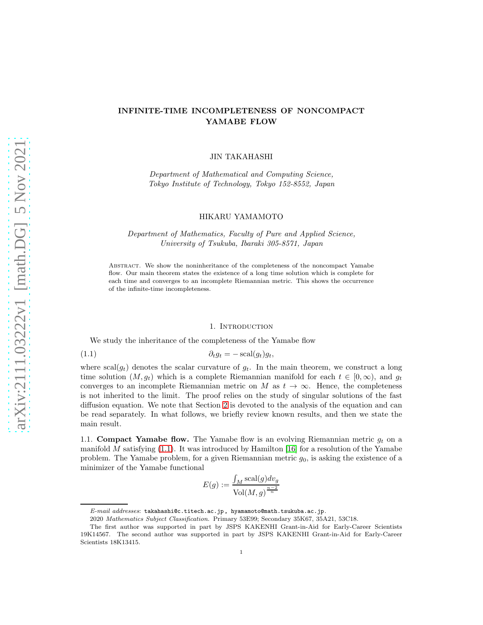# INFINITE-TIME INCOMPLETENESS OF NONCOMPACT YAMABE FLOW

JIN TAKAHASHI

*Department of Mathematical and Computing Science, Tokyo Institute of Technology, Tokyo 152-8552, Japan*

# HIKARU YAMAMOTO

*Department of Mathematics, Faculty of Pure and Applied Science, University of Tsukuba, Ibaraki 305-8571, Japan*

Abstract. We show the noninheritance of the completeness of the noncompact Yamabe flow. Our main theorem states the existence of a long time solution which is complete for each time and converges to an incomplete Riemannian metric. This shows the occurrence of the infinite-time incompleteness.

#### <span id="page-0-0"></span>1. Introduction

<span id="page-0-1"></span>We study the inheritance of the completeness of the Yamabe flow

(1.1)  $\partial_t q_t = -\operatorname{scal}(q_t)q_t,$ 

where  $\text{scal}(g_t)$  denotes the scalar curvature of  $g_t$ . In the main theorem, we construct a long time solution  $(M, g_t)$  which is a complete Riemannian manifold for each  $t \in [0, \infty)$ , and  $g_t$ converges to an incomplete Riemannian metric on M as  $t \to \infty$ . Hence, the completeness is not inherited to the limit. The proof relies on the study of singular solutions of the fast diffusion equation. We note that Section [2](#page-4-0) is devoted to the analysis of the equation and can be read separately. In what follows, we briefly review known results, and then we state the main result.

1.1. Compact Yamabe flow. The Yamabe flow is an evolving Riemannian metric  $g_t$  on a manifold M satisfying  $(1.1)$ . It was introduced by Hamilton [\[16\]](#page-19-0) for a resolution of the Yamabe problem. The Yamabe problem, for a given Riemannian metric  $q_0$ , is asking the existence of a minimizer of the Yamabe functional

$$
E(g) := \frac{\int_M \text{scal}(g) dv_g}{\text{Vol}(M, g)^{\frac{n-2}{n}}}
$$

E-mail addresses: takahashi@c.titech.ac.jp, hyamamoto@math.tsukuba.ac.jp.

<sup>2020</sup> Mathematics Subject Classification. Primary 53E99; Secondary 35K67, 35A21, 53C18.

The first author was supported in part by JSPS KAKENHI Grant-in-Aid for Early-Career Scientists 19K14567. The second author was supported in part by JSPS KAKENHI Grant-in-Aid for Early-Career Scientists 18K13415.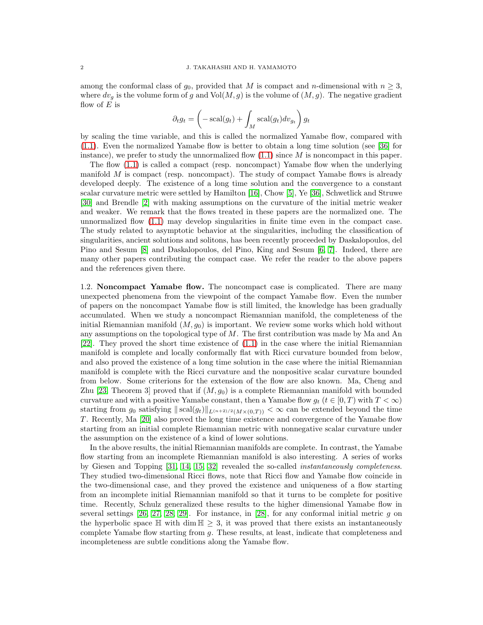among the conformal class of  $g_0$ , provided that M is compact and n-dimensional with  $n \geq 3$ , where  $dv_g$  is the volume form of g and  $Vol(M, g)$  is the volume of  $(M, g)$ . The negative gradient flow of  $E$  is

$$
\partial_t g_t = \left(-\operatorname{scal}(g_t) + \int_M \operatorname{scal}(g_t) dv_{g_t}\right) g_t
$$

by scaling the time variable, and this is called the normalized Yamabe flow, compared with [\(1.1\)](#page-0-0). Even the normalized Yamabe flow is better to obtain a long time solution (see [\[36\]](#page-20-0) for instance), we prefer to study the unnormalized flow  $(1.1)$  since M is noncompact in this paper.

The flow [\(1.1\)](#page-0-0) is called a compact (resp. noncompact) Yamabe flow when the underlying manifold  $M$  is compact (resp. noncompact). The study of compact Yamabe flows is already developed deeply. The existence of a long time solution and the convergence to a constant scalar curvature metric were settled by Hamilton [\[16\]](#page-19-0), Chow [\[5\]](#page-19-1), Ye [\[36\]](#page-20-0), Schwetlick and Struwe [\[30\]](#page-20-1) and Brendle [\[2\]](#page-19-2) with making assumptions on the curvature of the initial metric weaker and weaker. We remark that the flows treated in these papers are the normalized one. The unnormalized flow [\(1.1\)](#page-0-0) may develop singularities in finite time even in the compact case. The study related to asymptotic behavior at the singularities, including the classification of singularities, ancient solutions and solitons, has been recently proceeded by Daskalopoulos, del Pino and Sesum [\[8\]](#page-19-3) and Daskalopoulos, del Pino, King and Sesum [\[6,](#page-19-4) [7\]](#page-19-5). Indeed, there are many other papers contributing the compact case. We refer the reader to the above papers and the references given there.

1.2. Noncompact Yamabe flow. The noncompact case is complicated. There are many unexpected phenomena from the viewpoint of the compact Yamabe flow. Even the number of papers on the noncompact Yamabe flow is still limited, the knowledge has been gradually accumulated. When we study a noncompact Riemannian manifold, the completeness of the initial Riemannian manifold  $(M, g_0)$  is important. We review some works which hold without any assumptions on the topological type of  $M$ . The first contribution was made by Ma and An [\[22\]](#page-19-6). They proved the short time existence of [\(1.1\)](#page-0-0) in the case where the initial Riemannian manifold is complete and locally conformally flat with Ricci curvature bounded from below, and also proved the existence of a long time solution in the case where the initial Riemannian manifold is complete with the Ricci curvature and the nonpositive scalar curvature bounded from below. Some criterions for the extension of the flow are also known. Ma, Cheng and Zhu [\[23,](#page-19-7) Theorem 3] proved that if  $(M, g_0)$  is a complete Riemannian manifold with bounded curvature and with a positive Yamabe constant, then a Yamabe flow  $g_t$  ( $t \in [0, T)$  with  $T < \infty$ ) starting from  $g_0$  satisfying  $||\text{scal}(g_t)||_{L^{(n+2)/2}(M\times(0,T))} < \infty$  can be extended beyond the time T . Recently, Ma [\[20\]](#page-19-8) also proved the long time existence and convergence of the Yamabe flow starting from an initial complete Riemannian metric with nonnegative scalar curvature under the assumption on the existence of a kind of lower solutions.

In the above results, the initial Riemannian manifolds are complete. In contrast, the Yamabe flow starting from an incomplete Riemannian manifold is also interesting. A series of works by Giesen and Topping [\[31,](#page-20-2) [14,](#page-19-9) [15,](#page-19-10) [32\]](#page-20-3) revealed the so-called *instantaneously completeness*. They studied two-dimensional Ricci flows, note that Ricci flow and Yamabe flow coincide in the two-dimensional case, and they proved the existence and uniqueness of a flow starting from an incomplete initial Riemannian manifold so that it turns to be complete for positive time. Recently, Schulz generalized these results to the higher dimensional Yamabe flow in several settings [\[26,](#page-19-11) [27,](#page-19-12) [28,](#page-20-4) [29\]](#page-20-5). For instance, in [\[28\]](#page-20-4), for any conformal initial metric g on the hyperbolic space  $\mathbb{H}$  with dim  $\mathbb{H} > 3$ , it was proved that there exists an instantaneously complete Yamabe flow starting from g. These results, at least, indicate that completeness and incompleteness are subtle conditions along the Yamabe flow.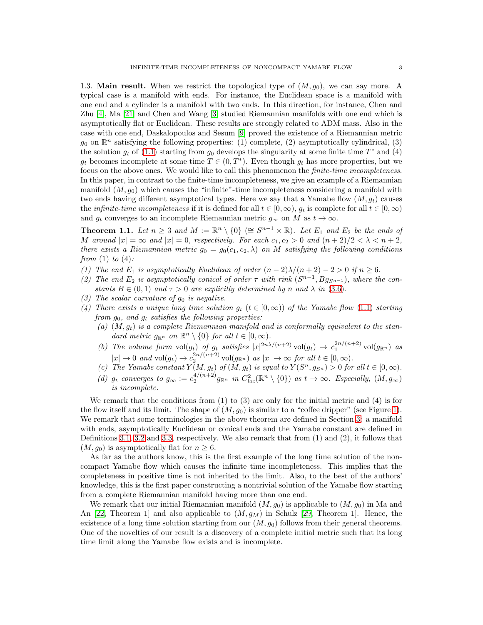1.3. Main result. When we restrict the topological type of  $(M, g_0)$ , we can say more. A typical case is a manifold with ends. For instance, the Euclidean space is a manifold with one end and a cylinder is a manifold with two ends. In this direction, for instance, Chen and Zhu [\[4\]](#page-19-13), Ma [\[21\]](#page-19-14) and Chen and Wang [\[3\]](#page-19-15) studied Riemannian manifolds with one end which is asymptotically flat or Euclidean. These results are strongly related to ADM mass. Also in the case with one end, Daskalopoulos and Sesum [\[9\]](#page-19-16) proved the existence of a Riemannian metric  $g_0$  on  $\mathbb{R}^n$  satisfying the following properties: (1) complete, (2) asymptotically cylindrical, (3) the solution  $g_t$  of [\(1.1\)](#page-0-0) starting from  $g_0$  develops the singularity at some finite time  $T^*$  and (4)  $g_t$  becomes incomplete at some time  $T \in (0, T^*)$ . Even though  $g_t$  has more properties, but we focus on the above ones. We would like to call this phenomenon the *finite-time incompleteness*. In this paper, in contrast to the finite-time incompleteness, we give an example of a Riemannian manifold  $(M, g_0)$  which causes the "infinite"-time incompleteness considering a manifold with two ends having different asymptotical types. Here we say that a Yamabe flow  $(M, g_t)$  causes the *infinite-time incompleteness* if it is defined for all  $t \in [0, \infty)$ ,  $g_t$  is complete for all  $t \in [0, \infty)$ and  $g_t$  converges to an incomplete Riemannian metric  $g_\infty$  on M as  $t \to \infty$ .

<span id="page-2-0"></span>**Theorem 1.1.** Let  $n \geq 3$  and  $M := \mathbb{R}^n \setminus \{0\} \ (\cong S^{n-1} \times \mathbb{R})$ . Let  $E_1$  and  $E_2$  be the ends of M around  $|x| = \infty$  and  $|x| = 0$ , respectively. For each  $c_1, c_2 > 0$  and  $(n+2)/2 < \lambda < n+2$ , *there exists a Riemannian metric*  $g_0 = g_0(c_1, c_2, \lambda)$  *on* M *satisfying the following conditions from* (1) *to* (4)*:*

- (1) The end  $E_1$  *is asymptotically Euclidean of order*  $(n-2)\lambda/(n+2) 2 > 0$  *if*  $n \ge 6$ *.*
- (2) The end  $E_2$  is asymptotically conical of order  $\tau$  with rink  $(S^{n-1}, Bg_{S^{n-1}})$ , where the con*stants*  $B \in (0,1)$  *and*  $\tau > 0$  *are explicitly determined by n and*  $\lambda$  *in* [\(3.6\)](#page-17-0)*.*
- *(3) The scalar curvature of*  $g_0$  *is negative.*
- (4) There exists a unique long time solution  $g_t$  ( $t \in [0,\infty)$ ) of the Yamabe flow [\(1.1\)](#page-0-0) starting *from*  $g_0$ *, and*  $g_t$  *satisfies the following properties:* 
	- (a)  $(M, g_t)$  *is a complete Riemannian manifold and is conformally equivalent to the standard metric*  $g_{\mathbb{R}^n}$  *on*  $\mathbb{R}^n \setminus \{0\}$  *for all*  $t \in [0, \infty)$ *.*
	- (b) The volume form  $vol(g_t)$  of  $g_t$  satisfies  $|x|^{2n\lambda/(n+2)}$   $vol(g_t) \to c_1^{2n/(n+2)}$   $vol(g_{\mathbb{R}^n})$  as  $|x| \to 0$  and  $\text{vol}(g_t) \to c_2^{2n/(n+2)} \text{vol}(g_{\mathbb{R}^n})$  *as*  $|x| \to \infty$  *for all*  $t \in [0,\infty)$ *.*
	- (c) The Yamabe constant  $Y(M, g_t)$  of  $(M, g_t)$  is equal to  $Y(S^n, g_{S^n}) > 0$  for all  $t \in [0, \infty)$ .
	- (d)  $g_t$  converges to  $g_\infty := c_2^{4/(n+2)} g_{\mathbb{R}^n}$  in  $C^2_{loc}(\mathbb{R}^n \setminus \{0\})$  as  $t \to \infty$ *. Especially,*  $(M, g_\infty)$ *is incomplete.*

We remark that the conditions from  $(1)$  to  $(3)$  are only for the initial metric and  $(4)$  is for the flow itself and its limit. The shape of  $(M, q_0)$  is similar to a "coffee dripper" (see Figure [1\)](#page-3-0). We remark that some terminologies in the above theorem are defined in Section [3:](#page-14-0) a manifold with ends, asymptotically Euclidean or conical ends and the Yamabe constant are defined in Definitions [3.1,](#page-14-1) [3.2](#page-15-0) and [3.3,](#page-18-0) respectively. We also remark that from (1) and (2), it follows that  $(M, g_0)$  is asymptotically flat for  $n \geq 6$ .

As far as the authors know, this is the first example of the long time solution of the noncompact Yamabe flow which causes the infinite time incompleteness. This implies that the completeness in positive time is not inherited to the limit. Also, to the best of the authors' knowledge, this is the first paper constructing a nontrivial solution of the Yamabe flow starting from a complete Riemannian manifold having more than one end.

We remark that our initial Riemannian manifold  $(M, g_0)$  is applicable to  $(M, g_0)$  in Ma and An [\[22,](#page-19-6) Theorem 1] and also applicable to  $(M, g_M)$  in Schulz [\[29,](#page-20-5) Theorem 1]. Hence, the existence of a long time solution starting from our  $(M, g_0)$  follows from their general theorems. One of the novelties of our result is a discovery of a complete initial metric such that its long time limit along the Yamabe flow exists and is incomplete.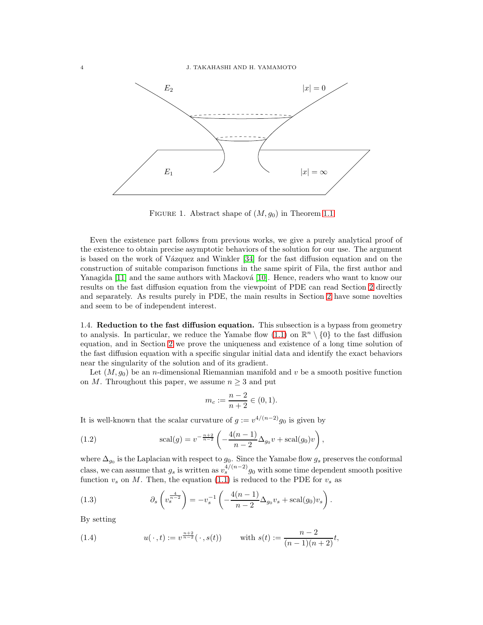

<span id="page-3-0"></span>FIGURE 1. Abstract shape of  $(M, g_0)$  in Theorem [1.1](#page-2-0)

Even the existence part follows from previous works, we give a purely analytical proof of the existence to obtain precise asymptotic behaviors of the solution for our use. The argument is based on the work of V $a$ zquez and Winkler [\[34\]](#page-20-6) for the fast diffusion equation and on the construction of suitable comparison functions in the same spirit of Fila, the first author and Yanagida  $[11]$  and the same authors with Macková  $[10]$ . Hence, readers who want to know our results on the fast diffusion equation from the viewpoint of PDE can read Section [2](#page-4-0) directly and separately. As results purely in PDE, the main results in Section [2](#page-4-0) have some novelties and seem to be of independent interest.

<span id="page-3-2"></span>1.4. Reduction to the fast diffusion equation. This subsection is a bypass from geometry to analysis. In particular, we reduce the Yamabe flow  $(1.1)$  on  $\mathbb{R}^n \setminus \{0\}$  to the fast diffusion equation, and in Section [2](#page-4-0) we prove the uniqueness and existence of a long time solution of the fast diffusion equation with a specific singular initial data and identify the exact behaviors near the singularity of the solution and of its gradient.

Let  $(M, g_0)$  be an *n*-dimensional Riemannian manifold and v be a smooth positive function on M. Throughout this paper, we assume  $n \geq 3$  and put

<span id="page-3-4"></span>
$$
m_c := \frac{n-2}{n+2} \in (0,1).
$$

It is well-known that the scalar curvature of  $g := v^{4/(n-2)}g_0$  is given by

(1.2) 
$$
\operatorname{scal}(g) = v^{-\frac{n+2}{n-2}} \left( -\frac{4(n-1)}{n-2} \Delta_{g_0} v + \operatorname{scal}(g_0) v \right),
$$

where  $\Delta_{g_0}$  is the Laplacian with respect to  $g_0$ . Since the Yamabe flow  $g_s$  preserves the conformal class, we can assume that  $g_s$  is written as  $v_s^{4/(n-2)}g_0$  with some time dependent smooth positive function  $v_s$  on M. Then, the equation [\(1.1\)](#page-0-0) is reduced to the PDE for  $v_s$  as

<span id="page-3-1"></span>(1.3) 
$$
\partial_s \left( v_s^{\frac{4}{n-2}} \right) = -v_s^{-1} \left( -\frac{4(n-1)}{n-2} \Delta_{g_0} v_s + \text{scal}(g_0) v_s \right).
$$

By setting

<span id="page-3-3"></span>(1.4) 
$$
u(\,\cdot\,,t) := v^{\frac{n+2}{n-2}}(\,\cdot\,,s(t)) \quad \text{with } s(t) := \frac{n-2}{(n-1)(n+2)}t,
$$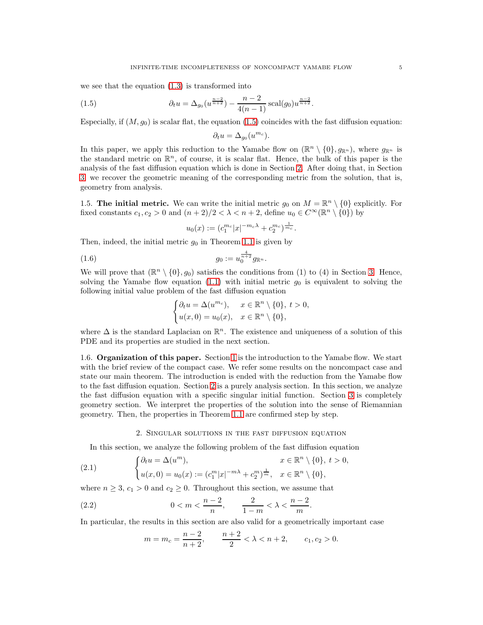we see that the equation [\(1.3\)](#page-3-1) is transformed into

(1.5) 
$$
\partial_t u = \Delta_{g_0}(u^{\frac{n-2}{n+2}}) - \frac{n-2}{4(n-1)} \operatorname{scal}(g_0) u^{\frac{n-2}{n+2}}.
$$

Especially, if  $(M, g_0)$  is scalar flat, the equation [\(1.5\)](#page-4-1) coincides with the fast diffusion equation:

<span id="page-4-1"></span>
$$
\partial_t u = \Delta_{g_0}(u^{m_c}).
$$

In this paper, we apply this reduction to the Yamabe flow on  $(\mathbb{R}^n \setminus \{0\}, g_{\mathbb{R}^n})$ , where  $g_{\mathbb{R}^n}$  is the standard metric on  $\mathbb{R}^n$ , of course, it is scalar flat. Hence, the bulk of this paper is the analysis of the fast diffusion equation which is done in Section [2.](#page-4-0) After doing that, in Section [3,](#page-14-0) we recover the geometric meaning of the corresponding metric from the solution, that is, geometry from analysis.

1.5. The initial metric. We can write the initial metric  $g_0$  on  $M = \mathbb{R}^n \setminus \{0\}$  explicitly. For fixed constants  $c_1, c_2 > 0$  and  $(n+2)/2 < \lambda < n+2$ , define  $u_0 \in C^\infty(\mathbb{R}^n \setminus \{0\})$  by

<span id="page-4-4"></span>
$$
u_0(x) := (c_1^{m_c}|x|^{-m_c \lambda} + c_2^{m_c})^{\frac{1}{m_c}}.
$$

Then, indeed, the initial metric  $g_0$  in Theorem [1.1](#page-2-0) is given by

(1.6) 
$$
g_0 := u_0^{\frac{4}{n+2}} g_{\mathbb{R}^n}.
$$

We will prove that  $(\mathbb{R}^n \setminus \{0\}, g_0)$  satisfies the conditions from (1) to (4) in Section [3.](#page-14-0) Hence, solving the Yamabe flow equation [\(1.1\)](#page-0-0) with initial metric  $g_0$  is equivalent to solving the following initial value problem of the fast diffusion equation

$$
\begin{cases} \partial_t u = \Delta(u^{m_c}), & x \in \mathbb{R}^n \setminus \{0\}, \ t > 0, \\ u(x, 0) = u_0(x), & x \in \mathbb{R}^n \setminus \{0\}, \end{cases}
$$

where  $\Delta$  is the standard Laplacian on  $\mathbb{R}^n$ . The existence and uniqueness of a solution of this PDE and its properties are studied in the next section.

1.6. Organization of this paper. Section [1](#page-0-1) is the introduction to the Yamabe flow. We start with the brief review of the compact case. We refer some results on the noncompact case and state our main theorem. The introduction is ended with the reduction from the Yamabe flow to the fast diffusion equation. Section [2](#page-4-0) is a purely analysis section. In this section, we analyze the fast diffusion equation with a specific singular initial function. Section [3](#page-14-0) is completely geometry section. We interpret the properties of the solution into the sense of Riemannian geometry. Then, the properties in Theorem [1.1](#page-2-0) are confirmed step by step.

### <span id="page-4-2"></span>2. Singular solutions in the fast diffusion equation

<span id="page-4-0"></span>In this section, we analyze the following problem of the fast diffusion equation

(2.1) 
$$
\begin{cases} \partial_t u = \Delta(u^m), & x \in \mathbb{R}^n \setminus \{0\}, \ t > 0, \\ u(x, 0) = u_0(x) := (c_1^m |x|^{-m\lambda} + c_2^m)^{\frac{1}{m}}, & x \in \mathbb{R}^n \setminus \{0\}, \end{cases}
$$

where  $n \geq 3$ ,  $c_1 > 0$  and  $c_2 \geq 0$ . Throughout this section, we assume that

(2.2) 
$$
0 < m < \frac{n-2}{n}
$$
,  $\frac{2}{1-m} < \lambda < \frac{n-2}{m}$ .

In particular, the results in this section are also valid for a geometrically important case

<span id="page-4-3"></span>
$$
m = m_c = \frac{n-2}{n+2}, \qquad \frac{n+2}{2} < \lambda < n+2, \qquad c_1, c_2 > 0.
$$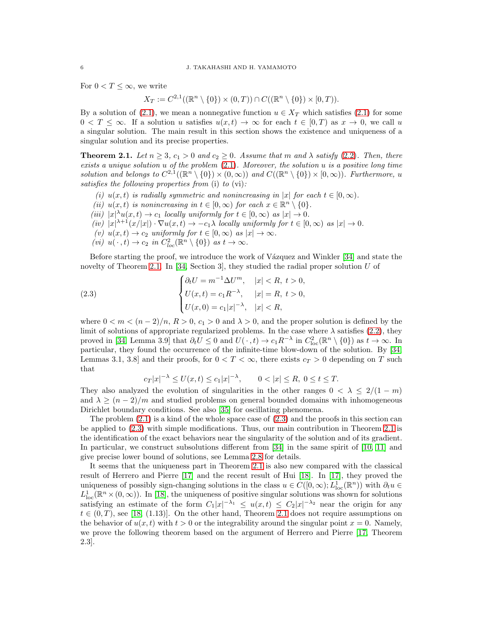For  $0 < T \leq \infty$ , we write

 $X_T := C^{2,1}((\mathbb{R}^n \setminus \{0\}) \times (0,T)) \cap C((\mathbb{R}^n \setminus \{0\}) \times [0,T)).$ 

By a solution of [\(2.1\)](#page-4-2), we mean a nonnegative function  $u \in X_T$  which satisfies (2.1) for some  $0 < T \leq \infty$ . If a solution u satisfies  $u(x,t) \to \infty$  for each  $t \in [0,T)$  as  $x \to 0$ , we call u a singular solution. The main result in this section shows the existence and uniqueness of a singular solution and its precise properties.

<span id="page-5-0"></span>**Theorem 2.1.** Let  $n \geq 3$ ,  $c_1 > 0$  and  $c_2 \geq 0$ . Assume that m and  $\lambda$  satisfy [\(2.2\)](#page-4-3). Then, there *exists a unique solution* u *of the problem* [\(2.1\)](#page-4-2)*. Moreover, the solution* u *is a positive long time solution and belongs to*  $C^{2,1}((\mathbb{R}^n \setminus \{0\}) \times (0,\infty))$  *and*  $C((\mathbb{R}^n \setminus \{0\}) \times [0,\infty))$ *. Furthermore, u satisfies the following properties from* (i) *to* (vi)*:*

- *(i)*  $u(x,t)$  *is radially symmetric and nonincreasing in* |x| *for each*  $t \in [0,\infty)$ *.*
- (*ii*)  $u(x,t)$  *is nonincreasing in*  $t \in [0,\infty)$  *for each*  $x \in \mathbb{R}^n \setminus \{0\}$ *.*
- (*iii*)  $|x|^{\lambda}u(x,t) \to c_1$  *locally uniformly for*  $t \in [0,\infty)$  *as*  $|x| \to 0$ .
- $(iv)$   $|x|^{\lambda+1}(x/|x|) \cdot \nabla u(x,t) \to -c_1 \lambda$  *locally uniformly for*  $t \in [0,\infty)$  *as*  $|x| \to 0$ *.*
- $(v)$   $u(x,t) \to c_2$  *uniformly for*  $t \in [0,\infty)$  *as*  $|x| \to \infty$ *.*
- (*vi*)  $u(\cdot, t) \to c_2$  *in*  $C_{loc}^2(\mathbb{R}^n \setminus \{0\})$  *as*  $t \to \infty$ *.*

Before starting the proof, we introduce the work of Vázquez and Winkler [\[34\]](#page-20-6) and state the novelty of Theorem [2.1.](#page-5-0) In [\[34,](#page-20-6) Section 3], they studied the radial proper solution U of

(2.3) 
$$
\begin{cases} \partial_t U = m^{-1} \Delta U^m, & |x| < R, \ t > 0, \\ U(x, t) = c_1 R^{-\lambda}, & |x| = R, \ t > 0, \\ U(x, 0) = c_1 |x|^{-\lambda}, & |x| < R, \end{cases}
$$

where  $0 < m < (n-2)/n$ ,  $R > 0$ ,  $c_1 > 0$  and  $\lambda > 0$ , and the proper solution is defined by the limit of solutions of appropriate regularized problems. In the case where  $\lambda$  satisfies [\(2.2\)](#page-4-3), they proved in [\[34,](#page-20-6) Lemma 3.9] that  $\partial_t U \leq 0$  and  $U(\cdot, t) \to c_1 R^{-\lambda}$  in  $C^2_{loc}(\mathbb{R}^n \setminus \{0\})$  as  $t \to \infty$ . In particular, they found the occurrence of the infinite-time blow-down of the solution. By [\[34,](#page-20-6) Lemmas 3.1, 3.8] and their proofs, for  $0 < T < \infty$ , there exists  $c_T > 0$  depending on T such that

<span id="page-5-1"></span>
$$
c_T|x|^{-\lambda} \le U(x,t) \le c_1|x|^{-\lambda}, \qquad 0 < |x| \le R, \ 0 \le t \le T.
$$

They also analyzed the evolution of singularities in the other ranges  $0 < \lambda \leq 2/(1-m)$ and  $\lambda \geq (n-2)/m$  and studied problems on general bounded domains with inhomogeneous Dirichlet boundary conditions. See also [\[35\]](#page-20-7) for oscillating phenomena.

The problem  $(2.1)$  is a kind of the whole space case of  $(2.3)$  and the proofs in this section can be applied to [\(2.3\)](#page-5-1) with simple modifications. Thus, our main contribution in Theorem [2.1](#page-5-0) is the identification of the exact behaviors near the singularity of the solution and of its gradient. In particular, we construct subsolutions different from [\[34\]](#page-20-6) in the same spirit of [\[10,](#page-19-18) [11\]](#page-19-17) and give precise lower bound of solutions, see Lemma [2.8](#page-11-0) for details.

It seems that the uniqueness part in Theorem [2.1](#page-5-0) is also new compared with the classical result of Herrero and Pierre [\[17\]](#page-19-19) and the recent result of Hui [\[18\]](#page-19-20). In [\[17\]](#page-19-19), they proved the uniqueness of possibly sign-changing solutions in the class  $u \in C([0,\infty); L^1_{loc}(\mathbb{R}^n))$  with  $\partial_t u \in$  $L^1_{loc}(\mathbb{R}^n\times(0,\infty))$ . In [\[18\]](#page-19-20), the uniqueness of positive singular solutions was shown for solutions satisfying an estimate of the form  $C_1|x|^{-\lambda_1} \leq u(x,t) \leq C_2|x|^{-\lambda_2}$  near the origin for any  $t \in (0, T)$ , see [\[18,](#page-19-20) (1.13)]. On the other hand, Theorem [2.1](#page-5-0) does not require assumptions on the behavior of  $u(x, t)$  with  $t > 0$  or the integrability around the singular point  $x = 0$ . Namely, we prove the following theorem based on the argument of Herrero and Pierre [\[17,](#page-19-19) Theorem 2.3].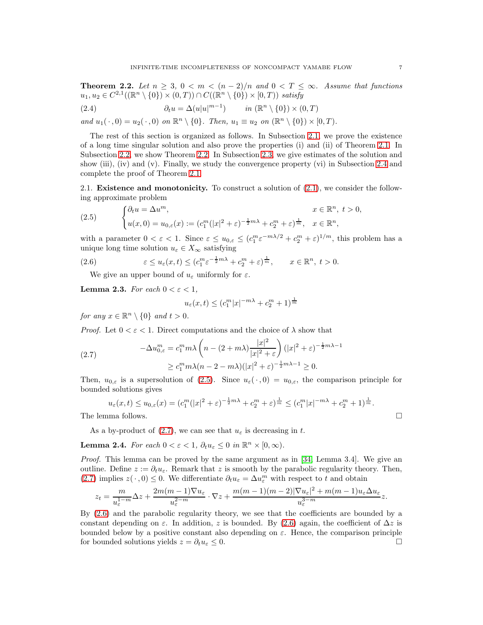<span id="page-6-1"></span>**Theorem 2.2.** Let  $n \geq 3$ ,  $0 < m < (n-2)/n$  and  $0 < T \leq \infty$ . Assume that functions  $u_1, u_2 \in C^{2,1}((\mathbb{R}^n \setminus \{0\}) \times (0,T)) \cap C((\mathbb{R}^n \setminus \{0\}) \times [0,T))$  satisfy

<span id="page-6-7"></span>(2.4) 
$$
\partial_t u = \Delta(u|u|^{m-1}) \qquad in \ (\mathbb{R}^n \setminus \{0\}) \times (0,T)
$$

*and*  $u_1(\cdot, 0) = u_2(\cdot, 0)$  *on*  $\mathbb{R}^n \setminus \{0\}$ *. Then,*  $u_1 \equiv u_2$  *on*  $(\mathbb{R}^n \setminus \{0\}) \times [0, T)$ *.* 

The rest of this section is organized as follows. In Subsection [2.1,](#page-6-0) we prove the existence of a long time singular solution and also prove the properties (i) and (ii) of Theorem [2.1.](#page-5-0) In Subsection [2.2,](#page-7-0) we show Theorem [2.2.](#page-6-1) In Subsection [2.3,](#page-10-0) we give estimates of the solution and show (iii), (iv) and (v). Finally, we study the convergence property (vi) in Subsection [2.4](#page-14-2) and complete the proof of Theorem [2.1.](#page-5-0)

<span id="page-6-0"></span>2.1. Existence and monotonicity. To construct a solution of [\(2.1\)](#page-4-2), we consider the following approximate problem

<span id="page-6-2"></span>(2.5) 
$$
\begin{cases} \partial_t u = \Delta u^m, & x \in \mathbb{R}^n, t > 0, \\ u(x, 0) = u_{0,\varepsilon}(x) := (c_1^m (|x|^2 + \varepsilon)^{-\frac{1}{2}m\lambda} + c_2^m + \varepsilon)^{\frac{1}{m}}, & x \in \mathbb{R}^n, \end{cases}
$$

with a parameter  $0 < \varepsilon < 1$ . Since  $\varepsilon \le u_{0,\varepsilon} \le (c_1^m \varepsilon^{-m\lambda/2} + c_2^m + \varepsilon)^{1/m}$ , this problem has a unique long time solution  $u_{\varepsilon} \in X_{\infty}$  satisfying

(2.6) 
$$
\varepsilon \le u_{\varepsilon}(x,t) \le (c_1^m \varepsilon^{-\frac{1}{2}m\lambda} + c_2^m + \varepsilon)^{\frac{1}{m}}, \qquad x \in \mathbb{R}^n, t > 0.
$$

We give an upper bound of  $u_{\varepsilon}$  uniformly for  $\varepsilon$ .

<span id="page-6-5"></span>**Lemma 2.3.** *For each*  $0 < \varepsilon < 1$ *,* 

<span id="page-6-4"></span>
$$
u_{\varepsilon}(x,t) \le (c_1^m |x|^{-m\lambda} + c_2^m + 1)^{\frac{1}{m}}
$$

*for any*  $x \in \mathbb{R}^n \setminus \{0\}$  *and*  $t > 0$ *.* 

*Proof.* Let  $0 < \varepsilon < 1$ . Direct computations and the choice of  $\lambda$  show that

<span id="page-6-3"></span>(2.7) 
$$
-\Delta u_{0,\varepsilon}^m = c_1^m m \lambda \left( n - (2 + m\lambda) \frac{|x|^2}{|x|^2 + \varepsilon} \right) (|x|^2 + \varepsilon)^{-\frac{1}{2}m\lambda - 1}
$$

$$
\geq c_1^m m \lambda (n - 2 - m\lambda) (|x|^2 + \varepsilon)^{-\frac{1}{2}m\lambda - 1} \geq 0.
$$

Then,  $u_{0,\varepsilon}$  is a supersolution of [\(2.5\)](#page-6-2). Since  $u_{\varepsilon}(\cdot,0) = u_{0,\varepsilon}$ , the comparison principle for bounded solutions gives

$$
u_{\varepsilon}(x,t) \le u_{0,\varepsilon}(x) = (c_1^m(|x|^2 + \varepsilon)^{-\frac{1}{2}m\lambda} + c_2^m + \varepsilon)^{\frac{1}{m}} \le (c_1^m |x|^{-m\lambda} + c_2^m + 1)^{\frac{1}{m}}.
$$
  
The lemma follows.

As a by-product of [\(2.7\)](#page-6-3), we can see that  $u_{\varepsilon}$  is decreasing in t.

<span id="page-6-6"></span>**Lemma 2.4.** For each  $0 < \varepsilon < 1$ ,  $\partial_t u_{\varepsilon} \leq 0$  in  $\mathbb{R}^n \times [0, \infty)$ .

*Proof.* This lemma can be proved by the same argument as in [\[34,](#page-20-6) Lemma 3.4]. We give an outline. Define  $z := \partial_t u_{\varepsilon}$ . Remark that z is smooth by the parabolic regularity theory. Then, [\(2.7\)](#page-6-3) implies  $z(\cdot,0) \leq 0$ . We differentiate  $\partial_t u_{\varepsilon} = \Delta u_{\varepsilon}^m$  with respect to t and obtain

$$
z_t = \frac{m}{u_{\varepsilon}^{1-m}} \Delta z + \frac{2m(m-1)\nabla u_{\varepsilon}}{u_{\varepsilon}^{2-m}} \cdot \nabla z + \frac{m(m-1)(m-2)|\nabla u_{\varepsilon}|^2 + m(m-1)u_{\varepsilon} \Delta u_{\varepsilon}}{u_{\varepsilon}^{3-m}} z.
$$

By [\(2.6\)](#page-6-4) and the parabolic regularity theory, we see that the coefficients are bounded by a constant depending on  $\varepsilon$ . In addition, z is bounded. By [\(2.6\)](#page-6-4) again, the coefficient of  $\Delta z$  is bounded below by a positive constant also depending on  $\varepsilon$ . Hence, the comparison principle for bounded solutions yields  $z = \partial_t u_{\varepsilon} \leq 0$ .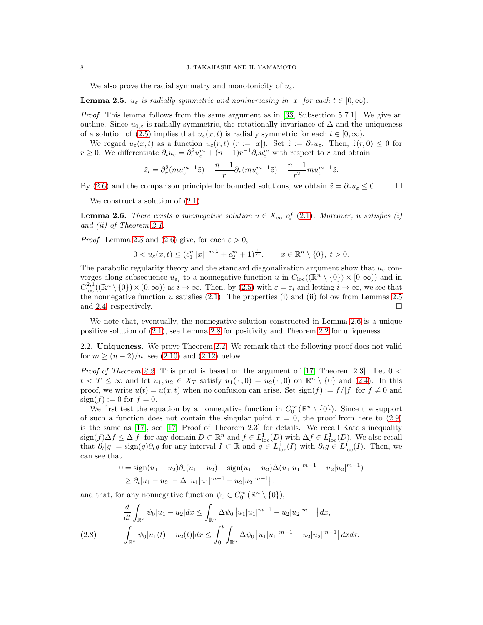We also prove the radial symmetry and monotonicity of  $u_{\varepsilon}$ .

<span id="page-7-1"></span>**Lemma 2.5.**  $u_{\varepsilon}$  *is radially symmetric and nonincreasing in* |x| *for each*  $t \in [0, \infty)$ *.* 

*Proof.* This lemma follows from the same argument as in [\[33,](#page-20-8) Subsection 5.7.1]. We give an outline. Since  $u_{0,\varepsilon}$  is radially symmetric, the rotationally invariance of  $\Delta$  and the uniqueness of a solution of [\(2.5\)](#page-6-2) implies that  $u_{\varepsilon}(x,t)$  is radially symmetric for each  $t \in [0,\infty)$ .

We regard  $u_{\varepsilon}(x,t)$  as a function  $u_{\varepsilon}(r,t)$  ( $r := |x|$ ). Set  $\tilde{z} := \partial_r u_{\varepsilon}$ . Then,  $\tilde{z}(r,0) \leq 0$  for  $r \geq 0$ . We differentiate  $\partial_t u_\varepsilon = \partial_r^2 u_\varepsilon^m + (n-1)r^{-1}\partial_r u_\varepsilon^m$  with respect to r and obtain

$$
\tilde{z}_t=\partial_r^2(mu_\varepsilon^{m-1}\tilde{z})+\frac{n-1}{r}\partial_r(mu_\varepsilon^{m-1}\tilde{z})-\frac{n-1}{r^2}mu_\varepsilon^{m-1}\tilde{z}.
$$

By [\(2.6\)](#page-6-4) and the comparison principle for bounded solutions, we obtain  $\tilde{z} = \partial_r u_{\varepsilon} \leq 0.$ 

We construct a solution of  $(2.1)$ .

<span id="page-7-2"></span>**Lemma 2.6.** *There exists a nonnegative solution*  $u \in X_\infty$  *of* [\(2.1\)](#page-4-2)*. Moreover, u satisfies (i) and (ii) of Theorem [2.1.](#page-5-0)*

*Proof.* Lemma [2.3](#page-6-5) and [\(2.6\)](#page-6-4) give, for each  $\varepsilon > 0$ ,

$$
0 < u_{\varepsilon}(x,t) \leq (c_1^m |x|^{-m\lambda} + c_2^m + 1)^{\frac{1}{m}}, \qquad x \in \mathbb{R}^n \setminus \{0\}, \ t > 0.
$$

The parabolic regularity theory and the standard diagonalization argument show that  $u_{\varepsilon}$  converges along subsequence  $u_{\varepsilon_i}$  to a nonnegative function u in  $C_{\text{loc}}((\mathbb{R}^n \setminus \{0\}) \times [0,\infty))$  and in  $C^{2,1}_{\text{loc}}((\mathbb{R}^n\setminus\{0\})\times(0,\infty))$  as  $i\to\infty$ . Then, by [\(2.5\)](#page-6-2) with  $\varepsilon=\varepsilon_i$  and letting  $i\to\infty$ , we see that the nonnegative function  $u$  satisfies [\(2.1\)](#page-4-2). The properties (i) and (ii) follow from Lemmas [2.5](#page-7-1) and [2.4,](#page-6-6) respectively.

We note that, eventually, the nonnegative solution constructed in Lemma [2.6](#page-7-2) is a unique positive solution of [\(2.1\)](#page-4-2), see Lemma [2.8](#page-11-0) for positivity and Theorem [2.2](#page-6-1) for uniqueness.

<span id="page-7-0"></span>2.2. Uniqueness. We prove Theorem [2.2.](#page-6-1) We remark that the following proof does not valid for  $m \ge (n-2)/n$ , see [\(2.10\)](#page-8-0) and [\(2.12\)](#page-9-0) below.

*Proof of Theorem [2.2.](#page-6-1)* This proof is based on the argument of [\[17,](#page-19-19) Theorem 2.3]. Let  $0 <$  $t < T \leq \infty$  and let  $u_1, u_2 \in X_T$  satisfy  $u_1(\cdot, 0) = u_2(\cdot, 0)$  on  $\mathbb{R}^n \setminus \{0\}$  and [\(2.4\)](#page-6-7). In this proof, we write  $u(t) = u(x, t)$  when no confusion can arise. Set sign(f) :=  $f/|f|$  for  $f \neq 0$  and  $sign(f) := 0$  for  $f = 0$ .

We first test the equation by a nonnegative function in  $C_0^{\infty}(\mathbb{R}^n \setminus \{0\})$ . Since the support of such a function does not contain the singular point  $x = 0$ , the proof from here to  $(2.9)$ is the same as [\[17\]](#page-19-19), see [\[17,](#page-19-19) Proof of Theorem 2.3] for details. We recall Kato's inequality  $\text{sign}(f) \Delta f \leq \Delta |f|$  for any domain  $D \subset \mathbb{R}^n$  and  $f \in L^1_{\text{loc}}(D)$  with  $\Delta f \in L^1_{\text{loc}}(D)$ . We also recall that  $\partial_t |g| = \text{sign}(g) \partial_t g$  for any interval  $I \subset \mathbb{R}$  and  $g \in L^1_{\text{loc}}(I)$  with  $\partial_t g \in L^1_{\text{loc}}(I)$ . Then, we can see that

$$
0 = sign(u_1 - u_2)\partial_t(u_1 - u_2) - sign(u_1 - u_2)\Delta(u_1|u_1|^{m-1} - u_2|u_2|^{m-1})
$$
  
\n
$$
\geq \partial_t|u_1 - u_2| - \Delta |u_1|u_1|^{m-1} - u_2|u_2|^{m-1}|,
$$

and that, for any nonnegative function  $\psi_0 \in C_0^{\infty}(\mathbb{R}^n \setminus \{0\}),$ 

<span id="page-7-3"></span>
$$
\frac{d}{dt} \int_{\mathbb{R}^n} \psi_0 |u_1 - u_2| dx \le \int_{\mathbb{R}^n} \Delta \psi_0 |u_1| |u_1|^{m-1} - u_2 |u_2|^{m-1} | dx,
$$
\n
$$
(2.8) \qquad \int_{\mathbb{R}^n} \psi_0 |u_1(t) - u_2(t)| dx \le \int_0^t \int_{\mathbb{R}^n} \Delta \psi_0 |u_1| |u_1|^{m-1} - u_2 |u_2|^{m-1} | dx dx.
$$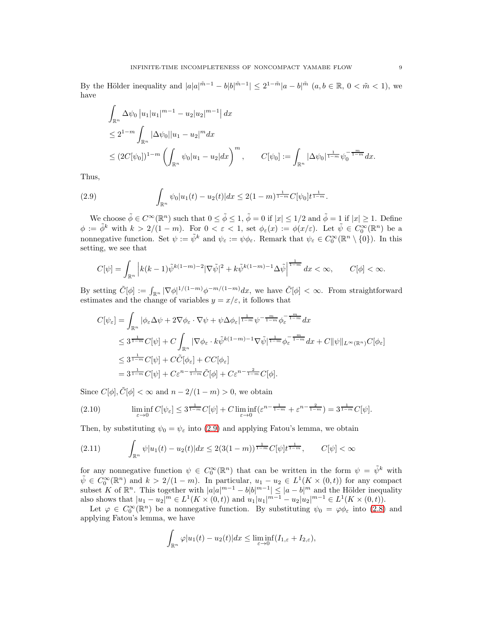By the Hölder inequality and  $|a|a|^{\tilde{m}-1} - b|b|^{\tilde{m}-1} \leq 2^{1-\tilde{m}}|a-b|^{\tilde{m}}$   $(a, b \in \mathbb{R}, 0 < \tilde{m} < 1)$ , we have

$$
\int_{\mathbb{R}^n} \Delta \psi_0 |u_1| u_1|^{m-1} - u_2 |u_2|^{m-1} | \, dx
$$
\n
$$
\leq 2^{1-m} \int_{\mathbb{R}^n} |\Delta \psi_0| |u_1 - u_2|^m dx
$$
\n
$$
\leq (2C[\psi_0])^{1-m} \left( \int_{\mathbb{R}^n} \psi_0 |u_1 - u_2| dx \right)^m, \qquad C[\psi_0] := \int_{\mathbb{R}^n} |\Delta \psi_0|^{1 \over 1-m} \psi_0^{-\frac{m}{1-m}} dx.
$$

Thus,

<span id="page-8-1"></span>(2.9) 
$$
\int_{\mathbb{R}^n} \psi_0|u_1(t) - u_2(t)| dx \leq 2(1-m)^{\frac{1}{1-m}} C[\psi_0] t^{\frac{1}{1-m}}.
$$

We choose  $\tilde{\phi} \in C^{\infty}(\mathbb{R}^n)$  such that  $0 \le \tilde{\phi} \le 1$ ,  $\tilde{\phi} = 0$  if  $|x| \le 1/2$  and  $\tilde{\phi} = 1$  if  $|x| \ge 1$ . Define  $\phi := \tilde{\phi}^k$  with  $k > 2/(1-m)$ . For  $0 < \varepsilon < 1$ , set  $\phi_{\varepsilon}(x) := \phi(x/\varepsilon)$ . Let  $\tilde{\psi} \in C_0^{\infty}(\mathbb{R}^n)$  be a nonnegative function. Set  $\psi := \tilde{\psi}^k$  and  $\psi_{\varepsilon} := \psi \phi_{\varepsilon}$ . Remark that  $\psi_{\varepsilon} \in C_0^{\infty}(\mathbb{R}^n \setminus \{0\})$ . In this setting, we see that

$$
C[\psi] = \int_{\mathbb{R}^n} \left| k(k-1)\tilde{\psi}^{k(1-m)-2} |\nabla \tilde{\psi}|^2 + k\tilde{\psi}^{k(1-m)-1} \Delta \tilde{\psi} \right|^{\frac{1}{1-m}} dx < \infty, \qquad C[\phi] < \infty.
$$

By setting  $\tilde{C}[\phi] := \int_{\mathbb{R}^n} |\nabla \phi|^{1/(1-m)} \phi^{-m/(1-m)} dx$ , we have  $\tilde{C}[\phi] < \infty$ . From straightforward estimates and the change of variables  $y = x/\varepsilon$ , it follows that

$$
C[\psi_{\varepsilon}] = \int_{\mathbb{R}^n} |\phi_{\varepsilon} \Delta \psi + 2\nabla \phi_{\varepsilon} \cdot \nabla \psi + \psi \Delta \phi_{\varepsilon}|^{\frac{1}{1-m}} \psi^{-\frac{m}{1-m}} \phi_{\varepsilon}^{-\frac{m}{1-m}} dx
$$
  
\n
$$
\leq 3^{\frac{1}{1-m}} C[\psi] + C \int_{\mathbb{R}^n} |\nabla \phi_{\varepsilon} \cdot k \tilde{\psi}^{k(1-m)-1} \nabla \tilde{\psi}|^{\frac{1}{1-m}} \phi_{\varepsilon}^{-\frac{m}{1-m}} dx + C \|\psi\|_{L^{\infty}(\mathbb{R}^n)} C[\phi_{\varepsilon}]
$$
  
\n
$$
\leq 3^{\frac{1}{1-m}} C[\psi] + C \tilde{C}[\phi_{\varepsilon}] + C C[\phi_{\varepsilon}]
$$
  
\n
$$
= 3^{\frac{1}{1-m}} C[\psi] + C \varepsilon^{n-\frac{1}{1-m}} \tilde{C}[\phi] + C \varepsilon^{n-\frac{2}{1-m}} C[\phi].
$$

Since  $C[\phi], \tilde{C}[\phi] < \infty$  and  $n - 2/(1 - m) > 0$ , we obtain

<span id="page-8-0"></span>(2.10) 
$$
\liminf_{\varepsilon \to 0} C[\psi_{\varepsilon}] \leq 3^{\frac{1}{1-m}} C[\psi] + C \liminf_{\varepsilon \to 0} (\varepsilon^{n - \frac{1}{1-m}} + \varepsilon^{n - \frac{2}{1-m}}) = 3^{\frac{1}{1-m}} C[\psi].
$$

Then, by substituting  $\psi_0 = \psi_\varepsilon$  into [\(2.9\)](#page-8-1) and applying Fatou's lemma, we obtain

<span id="page-8-2"></span>
$$
(2.11) \qquad \int_{\mathbb{R}^n} \psi |u_1(t) - u_2(t)| dx \le 2(3(1-m))^{\frac{1}{1-m}} C[\psi] t^{\frac{1}{1-m}}, \qquad C[\psi] < \infty
$$

for any nonnegative function  $\psi \in C_0^{\infty}(\mathbb{R}^n)$  that can be written in the form  $\psi = \tilde{\psi}^k$  with  $\tilde{\psi} \in C_0^{\infty}(\mathbb{R}^n)$  and  $k > 2/(1-m)$ . In particular,  $u_1 - u_2 \in L^1(K \times (0,t))$  for any compact subset K of  $\mathbb{R}^n$ . This together with  $|a|a|^{m-1} - b|b|^{m-1} \leq |a-b|^m$  and the Hölder inequality also shows that  $|u_1 - u_2|^m \in L^1(K \times (0,t))$  and  $u_1|u_1|^{m-1} - u_2|u_2|^{m-1} \in L^1(K \times (0,t)).$ 

Let  $\varphi \in C_0^{\infty}(\mathbb{R}^n)$  be a nonnegative function. By substituting  $\psi_0 = \varphi \phi_{\varepsilon}$  into [\(2.8\)](#page-7-3) and applying Fatou's lemma, we have

$$
\int_{\mathbb{R}^n} \varphi |u_1(t) - u_2(t)| dx \le \liminf_{\varepsilon \to 0} (I_{1,\varepsilon} + I_{2,\varepsilon}),
$$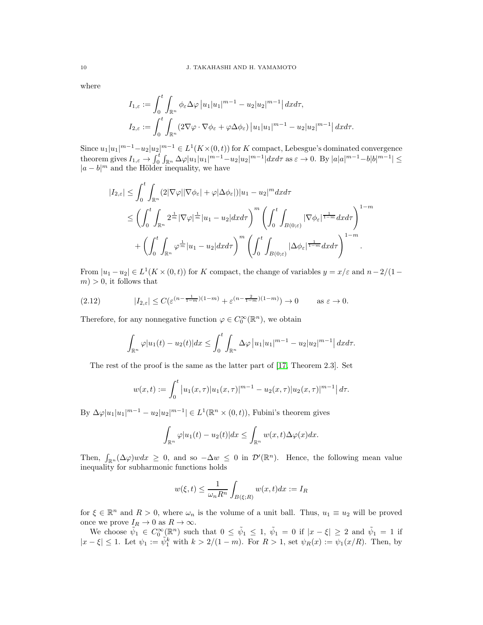where

$$
I_{1,\varepsilon} := \int_0^t \int_{\mathbb{R}^n} \phi_{\varepsilon} \Delta \varphi |u_1| u_1|^{m-1} - u_2 |u_2|^{m-1} | dx d\tau,
$$
  

$$
I_{2,\varepsilon} := \int_0^t \int_{\mathbb{R}^n} (2 \nabla \varphi \cdot \nabla \phi_{\varepsilon} + \varphi \Delta \phi_{\varepsilon}) |u_1| u_1|^{m-1} - u_2 |u_2|^{m-1} | dx d\tau.
$$

Since  $u_1|u_1|^{m-1} - u_2|u_2|^{m-1} \in L^1(K \times (0,t))$  for K compact, Lebesgue's dominated convergence theorem gives  $I_{1,\varepsilon} \to \int_0^t \int_{\mathbb{R}^n} \Delta \varphi |u_1| u_1 |^{m-1} - u_2 |u_2|^{m-1} |dx d\tau$  as  $\varepsilon \to 0$ . By  $|a|a|^{m-1} - b|b|^{m-1} | \leq$  $|a - b|^m$  and the Hölder inequality, we have

$$
\begin{split} |I_{2,\varepsilon}| &\leq \int_0^t \int_{\mathbb{R}^n} (2|\nabla \varphi| |\nabla \phi_{\varepsilon}| + \varphi |\Delta \phi_{\varepsilon}|) |u_1 - u_2|^m dx d\tau \\ &\leq \left( \int_0^t \int_{\mathbb{R}^n} 2^{\frac{1}{m}} |\nabla \varphi|^{\frac{1}{m}} |u_1 - u_2| dx d\tau \right)^m \left( \int_0^t \int_{B(0;\varepsilon)} |\nabla \phi_{\varepsilon}|^{\frac{1}{1-m}} dx d\tau \right)^{1-m} \\ &\quad + \left( \int_0^t \int_{\mathbb{R}^n} \varphi^{\frac{1}{m}} |u_1 - u_2| dx d\tau \right)^m \left( \int_0^t \int_{B(0;\varepsilon)} |\Delta \phi_{\varepsilon}|^{\frac{1}{1-m}} dx d\tau \right)^{1-m} . \end{split}
$$

From  $|u_1 - u_2| \in L^1(K \times (0, t))$  for K compact, the change of variables  $y = x/\varepsilon$  and  $n-2/(1-t)$  $m$ ) > 0, it follows that

$$
(2.12) \t|I_{2,\varepsilon}| \le C(\varepsilon^{(n-\frac{1}{1-m})(1-m)} + \varepsilon^{(n-\frac{2}{1-m})(1-m)}) \to 0 \t as \varepsilon \to 0.
$$

Therefore, for any nonnegative function  $\varphi \in C_0^{\infty}(\mathbb{R}^n)$ , we obtain

<span id="page-9-0"></span>
$$
\int_{\mathbb{R}^n} \varphi |u_1(t) - u_2(t)| dx \le \int_0^t \int_{\mathbb{R}^n} \Delta \varphi |u_1| u_1|^{m-1} - u_2 |u_2|^{m-1} | dx dx.
$$

The rest of the proof is the same as the latter part of [\[17,](#page-19-19) Theorem 2.3]. Set

$$
w(x,t) := \int_0^t \left| u_1(x,\tau) |u_1(x,\tau)|^{m-1} - u_2(x,\tau) |u_2(x,\tau)|^{m-1} \right| d\tau.
$$

By  $\Delta \varphi |u_1|^{m-1} - u_2 |u_2|^{m-1} \in L^1(\mathbb{R}^n \times (0, t)),$  Fubini's theorem gives

$$
\int_{\mathbb{R}^n} \varphi |u_1(t) - u_2(t)| dx \le \int_{\mathbb{R}^n} w(x,t) \Delta \varphi(x) dx.
$$

Then,  $\int_{\mathbb{R}^n} (\Delta \varphi) w dx \geq 0$ , and so  $-\Delta w \leq 0$  in  $\mathcal{D}'(\mathbb{R}^n)$ . Hence, the following mean value inequality for subharmonic functions holds

$$
w(\xi, t) \le \frac{1}{\omega_n R^n} \int_{B(\xi; R)} w(x, t) dx := I_R
$$

for  $\xi \in \mathbb{R}^n$  and  $R > 0$ , where  $\omega_n$  is the volume of a unit ball. Thus,  $u_1 \equiv u_2$  will be proved once we prove  $I_R \to 0$  as  $R \to \infty$ .

We choose  $\tilde{\psi}_1 \in C_0^{\infty}(\mathbb{R}^n)$  such that  $0 \le \tilde{\psi}_1 \le 1$ ,  $\tilde{\psi}_1 = 0$  if  $|x - \xi| \ge 2$  and  $\tilde{\psi}_1 = 1$  if  $|x-\xi| \leq 1$ . Let  $\psi_1 := \tilde{\psi}_1^k$  with  $k > 2/(1-m)$ . For  $R > 1$ , set  $\psi_R(x) := \psi_1(x/R)$ . Then, by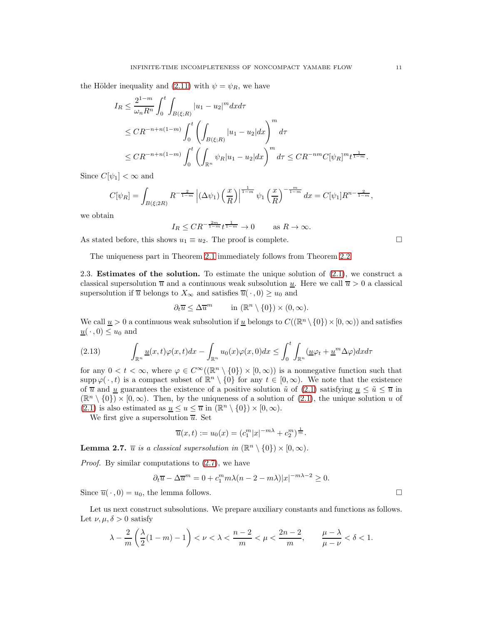the Hölder inequality and [\(2.11\)](#page-8-2) with  $\psi = \psi_R$ , we have

$$
I_R \leq \frac{2^{1-m}}{\omega_n R^n} \int_0^t \int_{B(\xi;R)} |u_1 - u_2|^m dx d\tau
$$
  
\n
$$
\leq C R^{-n+n(1-m)} \int_0^t \left( \int_{B(\xi;R)} |u_1 - u_2| dx \right)^m d\tau
$$
  
\n
$$
\leq C R^{-n+n(1-m)} \int_0^t \left( \int_{\mathbb{R}^n} \psi_R |u_1 - u_2| dx \right)^m d\tau \leq C R^{-nm} C [\psi_R]^m t^{\frac{1}{1-m}}.
$$

Since  $C[\psi_1] < \infty$  and

$$
C[\psi_R] = \int_{B(\xi; 2R)} R^{-\frac{2}{1-m}} \left| (\Delta \psi_1) \left( \frac{x}{R} \right) \right|^{1-m} \psi_1 \left( \frac{x}{R} \right)^{-\frac{m}{1-m}} dx = C[\psi_1] R^{n-\frac{2}{1-m}},
$$

we obtain

$$
I_R \leq CR^{-\frac{2m}{1-m}}t^{\frac{1}{1-m}} \to 0 \quad \text{as } R \to \infty.
$$

As stated before, this shows  $u_1 \equiv u_2$ . The proof is complete.  $\Box$ 

The uniqueness part in Theorem [2.1](#page-5-0) immediately follows from Theorem [2.2.](#page-6-1)

<span id="page-10-0"></span>2.3. Estimates of the solution. To estimate the unique solution of [\(2.1\)](#page-4-2), we construct a classical supersolution  $\bar{u}$  and a continuous weak subsolution  $\bar{u}$ . Here we call  $\bar{u} > 0$  a classical supersolution if  $\overline{u}$  belongs to  $X_{\infty}$  and satisfies  $\overline{u}(\cdot,0) \geq u_0$  and

$$
\partial_t \overline{u} \leq \Delta \overline{u}^m \qquad \text{in } (\mathbb{R}^n \setminus \{0\}) \times (0, \infty).
$$

We call  $\underline{u} > 0$  a continuous weak subsolution if  $\underline{u}$  belongs to  $C((\mathbb{R}^n \setminus \{0\}) \times [0, \infty))$  and satisfies  $\underline{u}(\cdot,0) \leq u_0$  and

<span id="page-10-1"></span>(2.13) 
$$
\int_{\mathbb{R}^n} \underline{u}(x,t) \varphi(x,t) dx - \int_{\mathbb{R}^n} u_0(x) \varphi(x,0) dx \leq \int_0^t \int_{\mathbb{R}^n} (\underline{u} \varphi_t + \underline{u}^m \Delta \varphi) dx d\tau
$$

for any  $0 < t < \infty$ , where  $\varphi \in C^{\infty}((\mathbb{R}^n \setminus \{0\}) \times [0,\infty))$  is a nonnegative function such that  $\text{supp }\varphi(\cdot,t)$  is a compact subset of  $\mathbb{R}^n \setminus \{0\}$  for any  $t \in [0,\infty)$ . We note that the existence of  $\overline{u}$  and <u>u</u> guarantees the existence of a positive solution  $\tilde{u}$  of [\(2.1\)](#page-4-2) satisfying  $\underline{u} \leq \tilde{u} \leq \overline{u}$  in  $(\mathbb{R}^n \setminus \{0\}) \times [0,\infty)$ . Then, by the uniqueness of a solution of  $(2.1)$ , the unique solution u of [\(2.1\)](#page-4-2) is also estimated as  $\underline{u} \le u \le \overline{u}$  in  $(\mathbb{R}^n \setminus \{0\}) \times [0, \infty)$ .

We first give a supersolution  $\overline{u}$ . Set

$$
\overline{u}(x,t) := u_0(x) = (c_1^m |x|^{-m\lambda} + c_2^m)^{\frac{1}{m}}.
$$

<span id="page-10-2"></span>**Lemma 2.7.**  $\overline{u}$  *is a classical supersolution in*  $(\mathbb{R}^n \setminus \{0\}) \times [0, \infty)$ *.* 

*Proof.* By similar computations to [\(2.7\)](#page-6-3), we have

$$
\partial_t \overline{u} - \Delta \overline{u}^m = 0 + c_1^m m \lambda (n - 2 - m \lambda) |x|^{-m\lambda - 2} \ge 0.
$$

Since  $\overline{u}(\cdot,0) = u_0$ , the lemma follows.

Let us next construct subsolutions. We prepare auxiliary constants and functions as follows. Let  $\nu, \mu, \delta > 0$  satisfy

$$
\lambda - \frac{2}{m}\left(\frac{\lambda}{2}(1-m) - 1\right) < \nu < \lambda < \frac{n-2}{m} < \mu < \frac{2n-2}{m}, \qquad \frac{\mu - \lambda}{\mu - \nu} < \delta < 1.
$$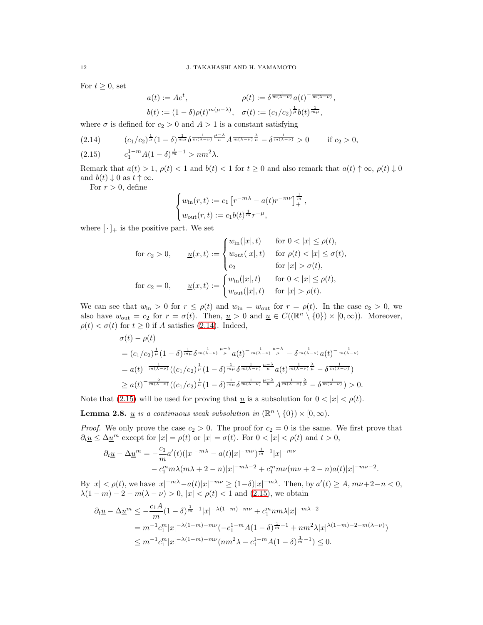For  $t \geq 0$ , set

$$
a(t) := Ae^{t}, \qquad \rho(t) := \delta^{\frac{1}{m(\lambda - \nu)}} a(t)^{-\frac{1}{m(\lambda - \nu)}}
$$

$$
b(t) := (1 - \delta)\rho(t)^{m(\mu - \lambda)}, \quad \sigma(t) := (c_1/c_2)^{\frac{1}{\mu}} b(t)^{\frac{1}{m\mu}},
$$

,

where  $\sigma$  is defined for  $c_2 > 0$  and  $A > 1$  is a constant satisfying

<span id="page-11-1"></span>
$$
(2.14) \qquad (c_1/c_2)^{\frac{1}{\mu}}(1-\delta)^{\frac{1}{m\mu}}\delta^{\frac{1}{m(\lambda-\nu)}\frac{\mu-\lambda}{\mu}}A^{\frac{1}{m(\lambda-\nu)}\frac{\lambda}{\mu}}-\delta^{\frac{1}{m(\lambda-\nu)}} > 0 \qquad \text{if } c_2 > 0,
$$

<span id="page-11-2"></span>(2.15) 
$$
c_1^{1-m} A (1 - \delta)^{\frac{1}{m}-1} > nm^2 \lambda.
$$

Remark that  $a(t) > 1$ ,  $\rho(t) < 1$  and  $b(t) < 1$  for  $t \ge 0$  and also remark that  $a(t) \uparrow \infty$ ,  $\rho(t) \downarrow 0$ and  $b(t) \downarrow 0$  as  $t \uparrow \infty$ .

For  $r > 0$ , define

$$
\begin{cases} w_{\rm in}(r,t) := c_1 \left[ r^{-m\lambda} - a(t) r^{-m\nu} \right]_+^{\frac{1}{m}}, \\ w_{\rm out}(r,t) := c_1 b(t)^{\frac{1}{m}} r^{-\mu}, \end{cases}
$$

where  $[\cdot]_+$  is the positive part. We set

$$
\begin{aligned}\n\text{for } c_2 > 0, \qquad \underline{u}(x,t) := \begin{cases}\nw_{\text{in}}(|x|,t) & \text{for } 0 < |x| \le \rho(t), \\
w_{\text{out}}(|x|,t) & \text{for } \rho(t) < |x| \le \sigma(t), \\
c_2 & \text{for } |x| > \sigma(t),\n\end{cases} \\
\text{for } c_2 = 0, \qquad \underline{u}(x,t) := \begin{cases}\nw_{\text{in}}(|x|,t) & \text{for } 0 < |x| \le \rho(t), \\
w_{\text{out}}(|x|,t) & \text{for } |x| > \rho(t).\n\end{cases}\n\end{aligned}
$$

We can see that  $w_{\text{in}} > 0$  for  $r \leq \rho(t)$  and  $w_{\text{in}} = w_{\text{out}}$  for  $r = \rho(t)$ . In the case  $c_2 > 0$ , we also have  $w_{\text{out}} = c_2$  for  $r = \sigma(t)$ . Then,  $\underline{u} > 0$  and  $\underline{u} \in C((\mathbb{R}^n \setminus \{0\}) \times [0, \infty))$ . Moreover,  $\rho(t) < \sigma(t)$  for  $t \geq 0$  if A satisfies [\(2.14\)](#page-11-1). Indeed,

$$
\sigma(t) - \rho(t)
$$
\n
$$
= (c_1/c_2)^{\frac{1}{\mu}} (1 - \delta)^{\frac{1}{m\mu}} \delta^{\frac{1}{m(\lambda-\nu)} \frac{\mu-\lambda}{\mu}} a(t)^{-\frac{1}{m(\lambda-\nu)} \frac{\mu-\lambda}{\mu}} - \delta^{\frac{1}{m(\lambda-\nu)}} a(t)^{-\frac{1}{m(\lambda-\nu)}}
$$
\n
$$
= a(t)^{-\frac{1}{m(\lambda-\nu)}} ((c_1/c_2)^{\frac{1}{\mu}} (1 - \delta)^{\frac{1}{m\mu}} \delta^{\frac{1}{m(\lambda-\nu)} \frac{\mu-\lambda}{\mu}} a(t)^{\frac{1}{m(\lambda-\nu)}}^{\frac{1}{m(\lambda-\nu)}} - \delta^{\frac{1}{m(\lambda-\nu)}})
$$
\n
$$
\geq a(t)^{-\frac{2}{m(\lambda-\nu)}} ((c_1/c_2)^{\frac{1}{\mu}} (1 - \delta)^{\frac{1}{m\mu}} \delta^{\frac{1}{m(\lambda-\nu)} \frac{\mu-\lambda}{\mu}} A^{\frac{1}{m(\lambda-\nu)}}^{\frac{1}{m(\lambda-\nu)}} - \delta^{\frac{1}{m(\lambda-\nu)}}) > 0.
$$

Note that [\(2.15\)](#page-11-2) will be used for proving that  $\underline{u}$  is a subsolution for  $0 < |x| < \rho(t)$ .

<span id="page-11-0"></span>**Lemma 2.8.** <u>*u*</u> is a continuous weak subsolution in  $(\mathbb{R}^n \setminus \{0\}) \times [0, \infty)$ .

*Proof.* We only prove the case  $c_2 > 0$ . The proof for  $c_2 = 0$  is the same. We first prove that  $\partial_t \underline{u} \leq \Delta \underline{u}^m$  except for  $|x| = \rho(t)$  or  $|x| = \sigma(t)$ . For  $0 < |x| < \rho(t)$  and  $t > 0$ ,

$$
\partial_t \underline{u} - \Delta \underline{u}^m = -\frac{c_1}{m} a'(t) (|x|^{-m\lambda} - a(t)|x|^{-m\nu})^{\frac{1}{m}-1} |x|^{-m\nu}
$$
  
-  $c_1^m m \lambda (m\lambda + 2 - n) |x|^{-m\lambda - 2} + c_1^m m\nu (m\nu + 2 - n) a(t) |x|^{-m\nu - 2}.$ 

By  $|x| < \rho(t)$ , we have  $|x|^{-m\lambda} - a(t)|x|^{-m\nu} \ge (1-\delta)|x|^{-m\lambda}$ . Then, by  $a'(t) \ge A$ ,  $m\nu + 2-n < 0$ ,  $\lambda(1 - m) - 2 - m(\lambda - \nu) > 0, |x| < \rho(t) < 1$  and [\(2.15\)](#page-11-2), we obtain

$$
\partial_t \underline{u} - \Delta \underline{u}^m \le -\frac{c_1 A}{m} (1 - \delta)^{\frac{1}{m} - 1} |x|^{-\lambda (1 - m) - m\nu} + c_1^m n m \lambda |x|^{-m\lambda - 2}
$$
  
=  $m^{-1} c_1^m |x|^{-\lambda (1 - m) - m\nu} (-c_1^{1 - m} A (1 - \delta)^{\frac{1}{m} - 1} + n m^2 \lambda |x|^{\lambda (1 - m) - 2 - m(\lambda - \nu)})$   
 $\le m^{-1} c_1^m |x|^{-\lambda (1 - m) - m\nu} (n m^2 \lambda - c_1^{1 - m} A (1 - \delta)^{\frac{1}{m} - 1}) \le 0.$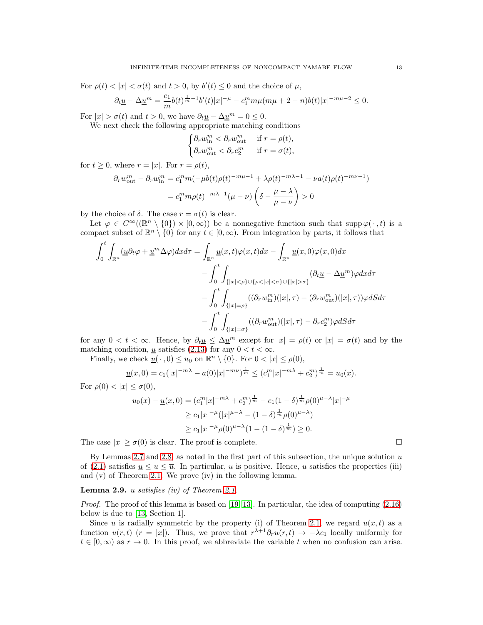For  $\rho(t) < |x| < \sigma(t)$  and  $t > 0$ , by  $b'(t) \leq 0$  and the choice of  $\mu$ ,

$$
\partial_t \underline{u} - \Delta \underline{u}^m = \frac{c_1}{m} b(t)^{\frac{1}{m}-1} b'(t) |x|^{-\mu} - c_1^m m \mu (m\mu + 2 - n) b(t) |x|^{-m\mu - 2} \le 0.
$$

For  $|x| > \sigma(t)$  and  $t > 0$ , we have  $\partial_t \underline{u} - \Delta \underline{u}^m = 0 \leq 0$ .

We next check the following appropriate matching conditions

$$
\begin{cases} \partial_r w_{\text{in}}^m < \partial_r w_{\text{out}}^m & \text{if } r = \rho(t), \\ \partial_r w_{\text{out}}^m < \partial_r c_2^m & \text{if } r = \sigma(t), \end{cases}
$$

for  $t \geq 0$ , where  $r = |x|$ . For  $r = \rho(t)$ ,

$$
\partial_r w_{\text{out}}^m - \partial_r w_{\text{in}}^m = c_1^m m (-\mu b(t)\rho(t)^{-m\mu - 1} + \lambda \rho(t)^{-m\lambda - 1} - \nu a(t)\rho(t)^{-m\nu - 1})
$$

$$
= c_1^m m \rho(t)^{-m\lambda - 1} (\mu - \nu) \left( \delta - \frac{\mu - \lambda}{\mu - \nu} \right) > 0
$$

by the choice of  $\delta$ . The case  $r = \sigma(t)$  is clear.

Let  $\varphi \in C^{\infty}((\mathbb{R}^n \setminus \{0\}) \times [0,\infty))$  be a nonnegative function such that supp  $\varphi(\cdot,t)$  is a compact subset of  $\mathbb{R}^n \setminus \{0\}$  for any  $t \in [0,\infty)$ . From integration by parts, it follows that

$$
\int_{0}^{t} \int_{\mathbb{R}^{n}} (\underline{u} \partial_{t} \varphi + \underline{u}^{m} \Delta \varphi) dx d\tau = \int_{\mathbb{R}^{n}} \underline{u}(x, t) \varphi(x, t) dx - \int_{\mathbb{R}^{n}} \underline{u}(x, 0) \varphi(x, 0) dx \n- \int_{0}^{t} \int_{\{|x| < \rho\} \cup \{\rho < |x| < \sigma\} \cup \{|x| > \sigma\}} (\partial_{t} \underline{u} - \Delta \underline{u}^{m}) \varphi dx d\tau \n- \int_{0}^{t} \int_{\{|x| = \rho\}} ((\partial_{r} w_{\text{in}}^{m}) (|x|, \tau) - (\partial_{r} w_{\text{out}}^{m}) (|x|, \tau)) \varphi dS d\tau \n- \int_{0}^{t} \int_{\{|x| = \sigma\}} ((\partial_{r} w_{\text{out}}^{m}) (|x|, \tau) - \partial_{r} c_{2}^{m}) \varphi dS d\tau
$$

for any  $0 < t < \infty$ . Hence, by  $\partial_t \underline{u} \leq \Delta \underline{u}^m$  except for  $|x| = \rho(t)$  or  $|x| = \sigma(t)$  and by the matching condition, <u>u</u> satisfies [\(2.13\)](#page-10-1) for any  $0 < t < \infty$ .

Finally, we check  $\underline{u}(\,\cdot\,,0) \leq u_0$  on  $\mathbb{R}^n \setminus \{0\}$ . For  $0 < |x| \leq \rho(0)$ ,

$$
\underline{u}(x,0) = c_1(|x|^{-m\lambda} - a(0)|x|^{-m\nu})^{\frac{1}{m}} \le (c_1^m |x|^{-m\lambda} + c_2^m)^{\frac{1}{m}} = u_0(x).
$$

For  $\rho(0) < |x| \le \sigma(0)$ ,

$$
u_0(x) - \underline{u}(x,0) = (c_1^m |x|^{-m\lambda} + c_2^m)^{\frac{1}{m}} - c_1 (1-\delta)^{\frac{1}{m}} \rho(0)^{\mu-\lambda} |x|^{-\mu}
$$
  
\n
$$
\geq c_1 |x|^{-\mu} (|x|^{\mu-\lambda} - (1-\delta)^{\frac{1}{m}} \rho(0)^{\mu-\lambda})
$$
  
\n
$$
\geq c_1 |x|^{-\mu} \rho(0)^{\mu-\lambda} (1 - (1-\delta)^{\frac{1}{m}}) \geq 0.
$$

The case  $|x| \ge \sigma(0)$  is clear. The proof is complete.

By Lemmas [2.7](#page-10-2) and [2.8,](#page-11-0) as noted in the first part of this subsection, the unique solution  $u$ of [\(2.1\)](#page-4-2) satisfies  $\underline{u} \le u \le \overline{u}$ . In particular, u is positive. Hence, u satisfies the properties (iii) and (v) of Theorem [2.1.](#page-5-0) We prove (iv) in the following lemma.

## Lemma 2.9. u *satisfies (iv) of Theorem [2.1.](#page-5-0)*

*Proof.* The proof of this lemma is based on [\[19,](#page-19-21) [13\]](#page-19-22). In particular, the idea of computing  $(2.16)$ below is due to [\[13,](#page-19-22) Section 1].

Since u is radially symmetric by the property (i) of Theorem [2.1,](#page-5-0) we regard  $u(x, t)$  as a function  $u(r, t)$   $(r = |x|)$ . Thus, we prove that  $r^{\lambda+1}\partial_r u(r, t) \rightarrow -\lambda c_1$  locally uniformly for  $t \in [0, \infty)$  as  $r \to 0$ . In this proof, we abbreviate the variable t when no confusion can arise.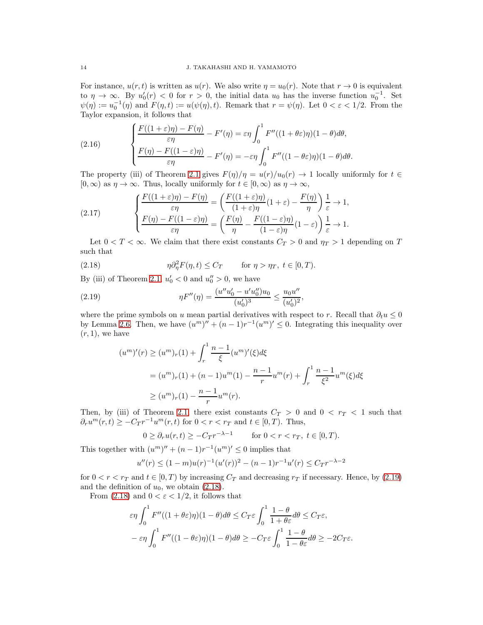For instance,  $u(r, t)$  is written as  $u(r)$ . We also write  $\eta = u_0(r)$ . Note that  $r \to 0$  is equivalent to  $\eta \to \infty$ . By  $u'_0(r) < 0$  for  $r > 0$ , the initial data  $u_0$  has the inverse function  $u_0^{-1}$ . Set  $\psi(\eta) := u_0^{-1}(\eta)$  and  $F(\eta, t) := u(\psi(\eta), t)$ . Remark that  $r = \psi(\eta)$ . Let  $0 < \varepsilon < 1/2$ . From the Taylor expansion, it follows that

<span id="page-13-0"></span>(2.16) 
$$
\begin{cases} \frac{F((1+\varepsilon)\eta)-F(\eta)}{\varepsilon\eta}-F'(\eta)=\varepsilon\eta\int_0^1 F''((1+\theta\varepsilon)\eta)(1-\theta)d\theta, \\ \frac{F(\eta)-F((1-\varepsilon)\eta)}{\varepsilon\eta}-F'(\eta)=-\varepsilon\eta\int_0^1 F''((1-\theta\varepsilon)\eta)(1-\theta)d\theta. \end{cases}
$$

The property (iii) of Theorem [2.1](#page-5-0) gives  $F(\eta)/\eta = u(r)/u_0(r) \to 1$  locally uniformly for  $t \in$  $[0, \infty)$  as  $\eta \to \infty$ . Thus, locally uniformly for  $t \in [0, \infty)$  as  $\eta \to \infty$ ,

<span id="page-13-3"></span>(2.17) 
$$
\begin{cases} \frac{F((1+\varepsilon)\eta) - F(\eta)}{\varepsilon \eta} = \left( \frac{F((1+\varepsilon)\eta)}{(1+\varepsilon)\eta} (1+\varepsilon) - \frac{F(\eta)}{\eta} \right) \frac{1}{\varepsilon} \to 1, \\ \frac{F(\eta) - F((1-\varepsilon)\eta)}{\varepsilon \eta} = \left( \frac{F(\eta)}{\eta} - \frac{F((1-\varepsilon)\eta)}{(1-\varepsilon)\eta} (1-\varepsilon) \right) \frac{1}{\varepsilon} \to 1. \end{cases}
$$

Let  $0 < T < \infty$ . We claim that there exist constants  $C_T > 0$  and  $\eta_T > 1$  depending on T such that

<span id="page-13-2"></span>(2.18) 
$$
\eta \partial_{\eta}^{2} F(\eta, t) \leq C_{T} \quad \text{for } \eta > \eta_{T}, t \in [0, T).
$$

By (iii) of Theorem [2.1,](#page-5-0)  $u_0' < 0$  and  $u_0'' > 0$ , we have

(2.19) 
$$
\eta F''(\eta) = \frac{(u''u'_0 - u'u_0'')u_0}{(u'_0)^3} \le \frac{u_0 u''}{(u'_0)^2},
$$

where the prime symbols on u mean partial derivatives with respect to r. Recall that  $\partial_t u \leq 0$ by Lemma [2.6.](#page-7-2) Then, we have  $(u^m)'' + (n-1)r^{-1}(u^m)' \leq 0$ . Integrating this inequality over  $(r, 1)$ , we have

<span id="page-13-1"></span>
$$
(u^m)'(r) \ge (u^m)_r(1) + \int_r^1 \frac{n-1}{\xi} (u^m)'(\xi) d\xi
$$
  
=  $(u^m)_r(1) + (n-1)u^m(1) - \frac{n-1}{r}u^m(r) + \int_r^1 \frac{n-1}{\xi^2} u^m(\xi) d\xi$   
 $\ge (u^m)_r(1) - \frac{n-1}{r}u^m(r).$ 

Then, by (iii) of Theorem [2.1,](#page-5-0) there exist constants  $C_T > 0$  and  $0 < r_T < 1$  such that  $\partial_r u^m(r,t) \geq -C_T r^{-1} u^m(r,t)$  for  $0 < r < r_T$  and  $t \in [0,T)$ . Thus,

$$
0 \ge \partial_r u(r,t) \ge -C_T r^{-\lambda - 1} \qquad \text{for } 0 < r < r, \ t \in [0, T).
$$

This together with  $(u^m)'' + (n-1)r^{-1}(u^m)' \leq 0$  implies that

$$
u''(r) \le (1-m)u(r)^{-1}(u'(r))^2 - (n-1)r^{-1}u'(r) \le C_T r^{-\lambda - 2}
$$

for  $0 < r < r_T$  and  $t \in [0, T)$  by increasing  $C_T$  and decreasing  $r_T$  if necessary. Hence, by [\(2.19\)](#page-13-1) and the definition of  $u_0$ , we obtain [\(2.18\)](#page-13-2).

From [\(2.18\)](#page-13-2) and  $0 < \varepsilon < 1/2$ , it follows that

$$
\varepsilon \eta \int_0^1 F''((1+\theta \varepsilon)\eta)(1-\theta)d\theta \le C_T \varepsilon \int_0^1 \frac{1-\theta}{1+\theta \varepsilon}d\theta \le C_T \varepsilon,
$$
  

$$
-\varepsilon \eta \int_0^1 F''((1-\theta \varepsilon)\eta)(1-\theta)d\theta \ge -C_T \varepsilon \int_0^1 \frac{1-\theta}{1-\theta \varepsilon}d\theta \ge -2C_T \varepsilon.
$$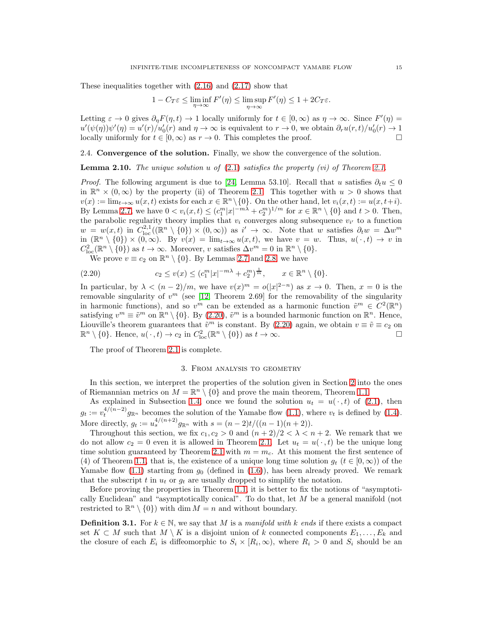These inequalities together with [\(2.16\)](#page-13-0) and [\(2.17\)](#page-13-3) show that

$$
1 - C_T \varepsilon \le \liminf_{\eta \to \infty} F'(\eta) \le \limsup_{\eta \to \infty} F'(\eta) \le 1 + 2C_T \varepsilon.
$$

Letting  $\varepsilon \to 0$  gives  $\partial_{\eta} F(\eta, t) \to 1$  locally uniformly for  $t \in [0, \infty)$  as  $\eta \to \infty$ . Since  $F'(\eta) =$  $u'(\psi(\eta))\psi'(\eta) = u'(r)/u'_0(r)$  and  $\eta \to \infty$  is equivalent to  $r \to 0$ , we obtain  $\partial_r u(r,t)/u'_0(r) \to 1$ locally uniformly for  $t \in [0, \infty)$  as  $r \to 0$ . This completes the proof.

<span id="page-14-2"></span>2.4. Convergence of the solution. Finally, we show the convergence of the solution.

Lemma 2.10. *The unique solution* u *of* [\(2.1\)](#page-4-2) *satisfies the property (vi) of Theorem [2.1.](#page-5-0)*

*Proof.* The following argument is due to [\[24,](#page-19-23) Lemma 53.10]. Recall that u satisfies  $\partial_t u \leq 0$ in  $\mathbb{R}^n \times (0,\infty)$  by the property (ii) of Theorem [2.1.](#page-5-0) This together with  $u > 0$  shows that  $v(x) := \lim_{t \to \infty} u(x, t)$  exists for each  $x \in \mathbb{R}^n \setminus \{0\}$ . On the other hand, let  $v_i(x, t) := u(x, t + i)$ . By Lemma [2.7,](#page-10-2) we have  $0 < v_i(x,t) \leq (c_1^m |x|^{-m\lambda} + c_2^m)^{1/m}$  for  $x \in \mathbb{R}^n \setminus \{0\}$  and  $t > 0$ . Then, the parabolic regularity theory implies that  $v_i$  converges along subsequence  $v_{i'}$  to a function  $w = w(x, t)$  in  $C^{2,1}_{loc}((\mathbb{R}^n \setminus \{0\}) \times (0, \infty))$  as  $i' \to \infty$ . Note that w satisfies  $\partial_t w = \Delta w^m$ in  $(\mathbb{R}^n \setminus \{0\}) \times (0, \infty)$ . By  $v(x) = \lim_{t \to \infty} u(x, t)$ , we have  $v = w$ . Thus,  $u(\cdot, t) \to v$  in  $C^2_{\text{loc}}(\mathbb{R}^n \setminus \{0\})$  as  $t \to \infty$ . Moreover, v satisfies  $\Delta v^m = 0$  in  $\mathbb{R}^n \setminus \{0\}$ .

<span id="page-14-3"></span>We prove  $v \equiv c_2$  on  $\mathbb{R}^n \setminus \{0\}$ . By Lemmas [2.7](#page-10-2) and [2.8,](#page-11-0) we have

(2.20) 
$$
c_2 \le v(x) \le (c_1^m |x|^{-m\lambda} + c_2^m)^{\frac{1}{m}}, \qquad x \in \mathbb{R}^n \setminus \{0\}.
$$

In particular, by  $\lambda < (n-2)/m$ , we have  $v(x)^m = o(|x|^{2-n})$  as  $x \to 0$ . Then,  $x = 0$  is the removable singularity of  $v^m$  (see [\[12,](#page-19-24) Theorem 2.69] for the removability of the singularity in harmonic functions), and so  $v^m$  can be extended as a harmonic function  $\tilde{v}^m \in C^2(\mathbb{R}^n)$ satisfying  $v^m \equiv \tilde{v}^m$  on  $\mathbb{R}^n \setminus \{0\}$ . By [\(2.20\)](#page-14-3),  $\tilde{v}^m$  is a bounded harmonic function on  $\mathbb{R}^n$ . Hence, Liouville's theorem guarantees that  $\tilde{v}^m$  is constant. By [\(2.20\)](#page-14-3) again, we obtain  $v \equiv \tilde{v} \equiv c_2$  on  $\mathbb{R}^n \setminus \{0\}$ . Hence,  $u(\cdot, t) \to c_2$  in  $C^2_{\text{loc}}(\mathbb{R}^n \setminus \{0\})$  as  $t \to \infty$ .

<span id="page-14-0"></span>The proof of Theorem [2.1](#page-5-0) is complete.

#### 3. From analysis to geometry

In this section, we interpret the properties of the solution given in Section [2](#page-4-0) into the ones of Riemannian metrics on  $M = \mathbb{R}^n \setminus \{0\}$  and prove the main theorem, Theorem [1.1.](#page-2-0)

As explained in Subsection [1.4,](#page-3-2) once we found the solution  $u_t = u(\cdot, t)$  of [\(2.1\)](#page-4-2), then  $g_t := v_t^{4/(n-2)} g_{\mathbb{R}^n}$  becomes the solution of the Yamabe flow [\(1.1\)](#page-0-0), where  $v_t$  is defined by [\(1.4\)](#page-3-3). More directly,  $g_t := u_s^{4/(n+2)} g_{\mathbb{R}^n}$  with  $s = (n-2)t/((n-1)(n+2))$ .

Throughout this section, we fix  $c_1, c_2 > 0$  and  $(n+2)/2 < \lambda < n+2$ . We remark that we do not allow  $c_2 = 0$  even it is allowed in Theorem [2.1.](#page-5-0) Let  $u_t = u(\cdot, t)$  be the unique long time solution guaranteed by Theorem [2.1](#page-5-0) with  $m = m_c$ . At this moment the first sentence of (4) of Theorem [1.1,](#page-2-0) that is, the existence of a unique long time solution  $g_t$  ( $t \in [0,\infty)$ ) of the Yamabe flow [\(1.1\)](#page-0-0) starting from  $g_0$  (defined in [\(1.6\)](#page-4-4)), has been already proved. We remark that the subscript t in  $u_t$  or  $g_t$  are usually dropped to simplify the notation.

Before proving the properties in Theorem [1.1,](#page-2-0) it is better to fix the notions of "asymptotically Euclidean" and "asymptotically conical". To do that, let M be a general manifold (not restricted to  $\mathbb{R}^n \setminus \{0\}$  with  $\dim M = n$  and without boundary.

<span id="page-14-1"></span>**Definition 3.1.** For  $k \in \mathbb{N}$ , we say that M is a *manifold with* k ends if there exists a compact set  $K \subset M$  such that  $M \setminus K$  is a disjoint union of k connected components  $E_1, \ldots, E_k$  and the closure of each  $E_i$  is diffeomorphic to  $S_i \times [R_i, \infty)$ , where  $R_i > 0$  and  $S_i$  should be an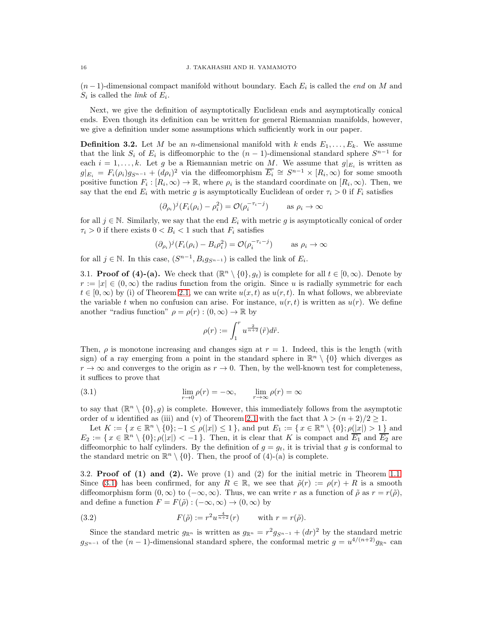$(n-1)$ -dimensional compact manifold without boundary. Each  $E_i$  is called the *end* on M and  $S_i$  is called the *link* of  $E_i$ .

Next, we give the definition of asymptotically Euclidean ends and asymptotically conical ends. Even though its definition can be written for general Riemannian manifolds, however, we give a definition under some assumptions which sufficiently work in our paper.

<span id="page-15-0"></span>**Definition 3.2.** Let M be an *n*-dimensional manifold with k ends  $E_1, \ldots, E_k$ . We assume that the link  $S_i$  of  $E_i$  is diffeomorphic to the  $(n-1)$ -dimensional standard sphere  $S^{n-1}$  for each  $i = 1, \ldots, k$ . Let g be a Riemannian metric on  $\underline{M}$ . We assume that  $g|_{E_i}$  is written as  $g|_{E_i} = F_i(\rho_i)g_{S^{n-1}} + (d\rho_i)^2$  via the diffeomorphism  $\overline{E_i} \cong S^{n-1} \times [R_i, \infty)$  for some smooth positive function  $F_i : [R_i, \infty) \to \mathbb{R}$ , where  $\rho_i$  is the standard coordinate on  $[R_i, \infty)$ . Then, we say that the end  $E_i$  with metric g is asymptotically Euclidean of order  $\tau_i > 0$  if  $F_i$  satisfies

$$
(\partial_{\rho_i})^j (F_i(\rho_i) - \rho_i^2) = \mathcal{O}(\rho_i^{-\tau_i - j}) \qquad \text{as } \rho_i \to \infty
$$

for all  $j \in \mathbb{N}$ . Similarly, we say that the end  $E_i$  with metric g is asymptotically conical of order  $\tau_i > 0$  if there exists  $0 < B_i < 1$  such that  $F_i$  satisfies

$$
(\partial_{\rho_i})^j (F_i(\rho_i) - B_i \rho_i^2) = \mathcal{O}(\rho_i^{-\tau_i - j}) \qquad \text{as } \rho_i \to \infty
$$

for all  $j \in \mathbb{N}$ . In this case,  $(S^{n-1}, B_i g_{S^{n-1}})$  is called the link of  $E_i$ .

3.1. **Proof of (4)-(a).** We check that  $(\mathbb{R}^n \setminus \{0\}, g_t)$  is complete for all  $t \in [0, \infty)$ . Denote by  $r := |x| \in (0, \infty)$  the radius function from the origin. Since u is radially symmetric for each  $t \in [0,\infty)$  by (i) of Theorem [2.1,](#page-5-0) we can write  $u(x,t)$  as  $u(r,t)$ . In what follows, we abbreviate the variable t when no confusion can arise. For instance,  $u(r, t)$  is written as  $u(r)$ . We define another "radius function"  $\rho = \rho(r) : (0, \infty) \to \mathbb{R}$  by

<span id="page-15-1"></span>
$$
\rho(r) := \int_1^r u^{\frac{2}{n+2}}(\tilde{r}) d\tilde{r}.
$$

Then,  $\rho$  is monotone increasing and changes sign at  $r = 1$ . Indeed, this is the length (with sign) of a ray emerging from a point in the standard sphere in  $\mathbb{R}^n \setminus \{0\}$  which diverges as  $r \to \infty$  and converges to the origin as  $r \to 0$ . Then, by the well-known test for completeness, it suffices to prove that

(3.1) 
$$
\lim_{r \to 0} \rho(r) = -\infty, \qquad \lim_{r \to \infty} \rho(r) = \infty
$$

to say that  $(\mathbb{R}^n \setminus \{0\}, g)$  is complete. However, this immediately follows from the asymptotic order of u identified as (iii) and (v) of Theorem [2.1](#page-5-0) with the fact that  $\lambda > (n+2)/2 > 1$ .

Let  $K := \{ x \in \mathbb{R}^n \setminus \{0\}; -1 \le \rho(|x|) \le 1 \}$ , and put  $E_1 := \{ x \in \mathbb{R}^n \setminus \{0\}; \rho(|x|) > 1 \}$  and  $E_2 := \{ x \in \mathbb{R}^n \setminus \{0\}; \rho(|x|) < -1 \}.$  Then, it is clear that K is compact and  $\overline{E_1}$  and  $\overline{E_2}$  are diffeomorphic to half cylinders. By the definition of  $g = g_t$ , it is trivial that g is conformal to the standard metric on  $\mathbb{R}^n \setminus \{0\}$ . Then, the proof of (4)-(a) is complete.

3.2. **Proof of (1) and (2).** We prove (1) and (2) for the initial metric in Theorem [1.1.](#page-2-0) Since [\(3.1\)](#page-15-1) has been confirmed, for any  $R \in \mathbb{R}$ , we see that  $\tilde{\rho}(r) := \rho(r) + R$  is a smooth diffeomorphism form  $(0, \infty)$  to  $(-\infty, \infty)$ . Thus, we can write r as a function of  $\tilde{\rho}$  as  $r = r(\tilde{\rho})$ , and define a function  $F = F(\tilde{\rho}) : (-\infty, \infty) \to (0, \infty)$  by

<span id="page-15-2"></span>(3.2) 
$$
F(\tilde{\rho}) := r^2 u^{\frac{4}{n+2}}(r) \quad \text{with } r = r(\tilde{\rho}).
$$

Since the standard metric  $g_{\mathbb{R}^n}$  is written as  $g_{\mathbb{R}^n} = r^2 g_{S^{n-1}} + (dr)^2$  by the standard metric  $g_{S^{n-1}}$  of the  $(n-1)$ -dimensional standard sphere, the conformal metric  $g = u^{4/(n+2)}g_{\mathbb{R}^n}$  can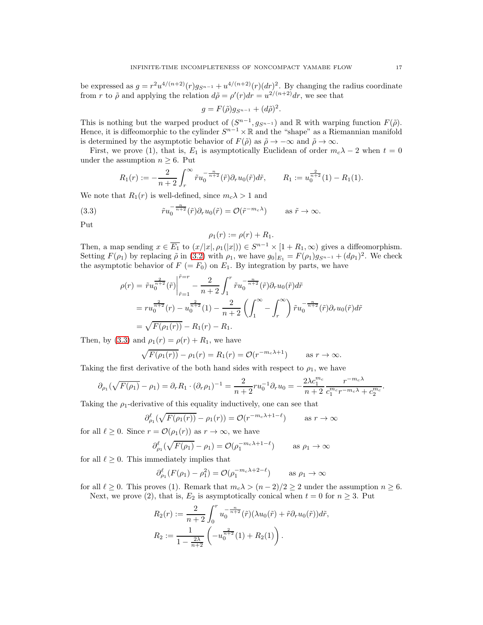be expressed as  $g = r^2 u^{4/(n+2)}(r) g_{S^{n-1}} + u^{4/(n+2)}(r) (dr)^2$ . By changing the radius coordinate from r to  $\tilde{\rho}$  and applying the relation  $d\tilde{\rho} = \rho'(r)dr = u^{2/(n+2)}dr$ , we see that

$$
g = F(\tilde{\rho})g_{S^{n-1}} + (d\tilde{\rho})^2.
$$

This is nothing but the warped product of  $(S^{n-1}, g_{S^{n-1}})$  and R with warping function  $F(\tilde{\rho})$ . Hence, it is diffeomorphic to the cylinder  $S^{n-1} \times \mathbb{R}$  and the "shape" as a Riemannian manifold is determined by the asymptotic behavior of  $F(\tilde{\rho})$  as  $\tilde{\rho} \to -\infty$  and  $\tilde{\rho} \to \infty$ .

First, we prove (1), that is,  $E_1$  is asymptotically Euclidean of order  $m_c\lambda - 2$  when  $t = 0$ under the assumption  $n \geq 6$ . Put

$$
R_1(r) := -\frac{2}{n+2} \int_r^{\infty} \tilde{r} u_0^{-\frac{n}{n+2}}(\tilde{r}) \partial_r u_0(\tilde{r}) d\tilde{r}, \qquad R_1 := u_0^{\frac{2}{n+2}}(1) - R_1(1).
$$

We note that  $R_1(r)$  is well-defined, since  $m_c \lambda > 1$  and

(3.3) 
$$
\tilde{r}u_0^{-\frac{n}{n+2}}(\tilde{r})\partial_r u_0(\tilde{r}) = \mathcal{O}(\tilde{r}^{-m_c\lambda}) \quad \text{as } \tilde{r} \to \infty.
$$

Put

<span id="page-16-0"></span>
$$
\rho_1(r) := \rho(r) + R_1.
$$

Then, a map sending  $x \in \overline{E_1}$  to  $(x/|x|, \rho_1(|x|)) \in S^{n-1} \times [1 + R_1, \infty)$  gives a diffeomorphism. Setting  $F(\rho_1)$  by replacing  $\tilde{\rho}$  in [\(3.2\)](#page-15-2) with  $\rho_1$ , we have  $g_0|_{E_1} = F(\rho_1)g_{S^{n-1}} + (d\rho_1)^2$ . We check the asymptotic behavior of  $F (= F_0)$  on  $E_1$ . By integration by parts, we have

$$
\rho(r) = \tilde{r}u_0^{\frac{2}{n+2}}(\tilde{r})\Big|_{\tilde{r}=1}^{\tilde{r}=r} - \frac{2}{n+2}\int_1^r \tilde{r}u_0^{-\frac{n}{n+2}}(\tilde{r})\partial_r u_0(\tilde{r})d\tilde{r}
$$
  
=  $ru_0^{\frac{2}{n+2}}(r) - u_0^{\frac{2}{n+2}}(1) - \frac{2}{n+2}\left(\int_1^\infty - \int_r^\infty\right)\tilde{r}u_0^{-\frac{n}{n+2}}(\tilde{r})\partial_r u_0(\tilde{r})d\tilde{r}$   
=  $\sqrt{F(\rho_1(r))} - R_1(r) - R_1.$ 

Then, by [\(3.3\)](#page-16-0) and  $\rho_1(r) = \rho(r) + R_1$ , we have

$$
\sqrt{F(\rho_1(r))} - \rho_1(r) = R_1(r) = \mathcal{O}(r^{-m_c \lambda + 1}) \quad \text{as } r \to \infty.
$$

Taking the first derivative of the both hand sides with respect to  $\rho_1$ , we have

$$
\partial_{\rho_1}(\sqrt{F(\rho_1)} - \rho_1) = \partial_r R_1 \cdot (\partial_r \rho_1)^{-1} = \frac{2}{n+2} r u_0^{-1} \partial_r u_0 = -\frac{2\lambda c_1^{m_c}}{n+2} \frac{r^{-m_c \lambda}}{c_1^{m_c} r^{-m_c \lambda} + c_2^{m_c}}.
$$

Taking the  $\rho_1$ -derivative of this equality inductively, one can see that

$$
\partial_{\rho_1}^{\ell}(\sqrt{F(\rho_1(r))}-\rho_1(r))=\mathcal{O}(r^{-m_c\lambda+1-\ell}) \qquad \text{as } r \to \infty
$$

for all  $\ell \geq 0$ . Since  $r = \mathcal{O}(\rho_1(r))$  as  $r \to \infty$ , we have

$$
\partial_{\rho_1}^{\ell}(\sqrt{F(\rho_1)} - \rho_1) = \mathcal{O}(\rho_1^{-m_c \lambda + 1 - \ell}) \quad \text{as } \rho_1 \to \infty
$$

for all  $\ell \geq 0$ . This immediately implies that

$$
\partial_{\rho_1}^{\ell}(F(\rho_1) - \rho_1^2) = \mathcal{O}(\rho_1^{-m_c \lambda + 2 - \ell}) \qquad \text{as } \rho_1 \to \infty
$$

for all  $\ell \geq 0$ . This proves (1). Remark that  $m_c \lambda > (n-2)/2 \geq 2$  under the assumption  $n \geq 6$ . Next, we prove (2), that is,  $E_2$  is asymptotically conical when  $t = 0$  for  $n \geq 3$ . Put

$$
R_2(r) := \frac{2}{n+2} \int_0^r u_0^{-\frac{n}{n+2}} (\tilde{r}) (\lambda u_0(\tilde{r}) + \tilde{r} \partial_r u_0(\tilde{r})) d\tilde{r},
$$
  

$$
R_2 := \frac{1}{1 - \frac{2\lambda}{n+2}} \left( -u_0^{\frac{2}{n+2}} (1) + R_2(1) \right).
$$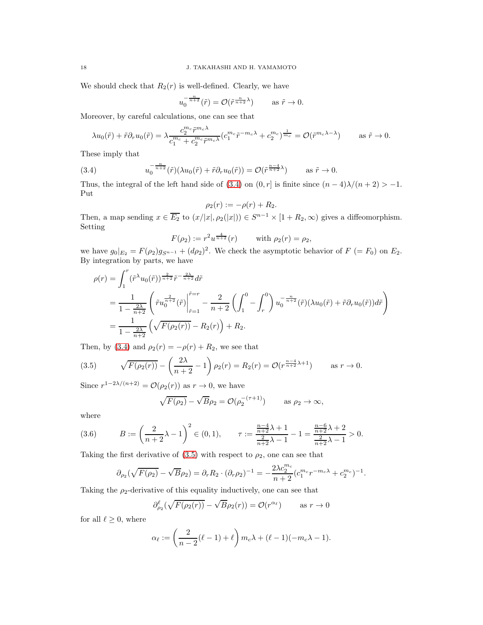We should check that  $R_2(r)$  is well-defined. Clearly, we have

$$
u_0^{-\frac{n}{n+2}}(\tilde{r}) = \mathcal{O}(\tilde{r}^{\frac{n}{n+2}\lambda}) \quad \text{as } \tilde{r} \to 0.
$$

Moreover, by careful calculations, one can see that

$$
\lambda u_0(\tilde{r}) + \tilde{r}\partial_r u_0(\tilde{r}) = \lambda \frac{c_2^{m_c} \tilde{r}^{m_c \lambda}}{c_1^{m_c} + c_2^{m_c} \tilde{r}^{m_c \lambda}} (c_1^{m_c} \tilde{r}^{-m_c \lambda} + c_2^{m_c})^{\frac{1}{m_c}} = \mathcal{O}(\tilde{r}^{m_c \lambda - \lambda}) \quad \text{as } \tilde{r} \to 0.
$$

These imply that

<span id="page-17-1"></span>(3.4) 
$$
u_0^{-\frac{n}{n+2}}(\tilde{r})(\lambda u_0(\tilde{r}) + \tilde{r}\partial_r u_0(\tilde{r})) = \mathcal{O}(\tilde{r}^{\frac{n-4}{n+2}\lambda}) \quad \text{as } \tilde{r} \to 0.
$$

Thus, the integral of the left hand side of [\(3.4\)](#page-17-1) on  $(0, r]$  is finite since  $(n - 4)\lambda/(n + 2) > -1$ . Put

$$
\rho_2(r):=-\rho(r)+R_2.
$$

Then, a map sending  $x \in \overline{E_2}$  to  $(x/|x|, \rho_2(|x|)) \in S^{n-1} \times [1 + R_2, \infty)$  gives a diffeomorphism. Setting

$$
F(\rho_2) := r^2 u^{\frac{4}{n+2}}(r)
$$
 with  $\rho_2(r) = \rho_2$ ,

we have  $g_0|_{E_2} = F(\rho_2)g_{S^{n-1}} + (d\rho_2)^2$ . We check the asymptotic behavior of  $F = F_0$  on  $E_2$ . By integration by parts, we have

$$
\rho(r) = \int_{1}^{r} (\tilde{r}^{\lambda} u_{0}(\tilde{r}))^{\frac{2}{n+2}} \tilde{r}^{-\frac{2\lambda}{n+2}} d\tilde{r}
$$
  
= 
$$
\frac{1}{1 - \frac{2\lambda}{n+2}} \left( \tilde{r} u_{0}^{\frac{2}{n+2}}(\tilde{r}) \Big|_{\tilde{r}=1}^{\tilde{r}=r} - \frac{2}{n+2} \left( \int_{1}^{0} - \int_{r}^{0} \right) u_{0}^{-\frac{n}{n+2}}(\tilde{r}) (\lambda u_{0}(\tilde{r}) + \tilde{r} \partial_{r} u_{0}(\tilde{r})) d\tilde{r} \right)
$$
  
= 
$$
\frac{1}{1 - \frac{2\lambda}{n+2}} \left( \sqrt{F(\rho_{2}(r))} - R_{2}(r) \right) + R_{2}.
$$

Then, by [\(3.4\)](#page-17-1) and  $\rho_2(r) = -\rho(r) + R_2$ , we see that

<span id="page-17-2"></span>(3.5) 
$$
\sqrt{F(\rho_2(r))} - \left(\frac{2\lambda}{n+2} - 1\right) \rho_2(r) = R_2(r) = \mathcal{O}(r^{\frac{n-4}{n+2}\lambda+1}) \quad \text{as } r \to 0.
$$

Since  $r^{1-2\lambda/(n+2)} = \mathcal{O}(\rho_2(r))$  as  $r \to 0$ , we have

$$
\sqrt{F(\rho_2)} - \sqrt{B}\rho_2 = \mathcal{O}(\rho_2^{-(\tau+1)}) \quad \text{as } \rho_2 \to \infty,
$$

where

(3.6) 
$$
B := \left(\frac{2}{n+2}\lambda - 1\right)^2 \in (0,1), \qquad \tau := \frac{\frac{n-4}{n+2}\lambda + 1}{\frac{2}{n+2}\lambda - 1} - 1 = \frac{\frac{n-6}{n+2}\lambda + 2}{\frac{2}{n+2}\lambda - 1} > 0.
$$

Taking the first derivative of  $(3.5)$  with respect to  $\rho_2$ , one can see that

<span id="page-17-0"></span>
$$
\partial_{\rho_2}(\sqrt{F(\rho_2)} - \sqrt{B}\rho_2) = \partial_r R_2 \cdot (\partial_r \rho_2)^{-1} = -\frac{2\lambda c_2^{m_c}}{n+2} (c_1^{m_c} r^{-m_c \lambda} + c_2^{m_c})^{-1}.
$$

Taking the  $\rho_2$ -derivative of this equality inductively, one can see that

$$
\partial_{\rho_2}^{\ell}(\sqrt{F(\rho_2(r))} - \sqrt{B}\rho_2(r)) = \mathcal{O}(r^{\alpha_{\ell}}) \quad \text{as } r \to 0
$$

for all  $\ell \geq 0$ , where

$$
\alpha_{\ell} := \left(\frac{2}{n-2}(\ell-1) + \ell\right) m_c \lambda + (\ell-1)(-m_c \lambda - 1).
$$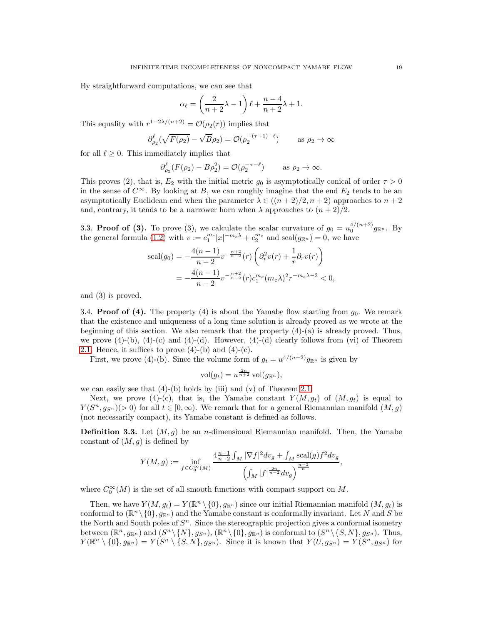By straightforward computations, we can see that

$$
\alpha_{\ell} = \left(\frac{2}{n+2}\lambda - 1\right)\ell + \frac{n-4}{n+2}\lambda + 1.
$$

This equality with  $r^{1-2\lambda/(n+2)} = \mathcal{O}(\rho_2(r))$  implies that

$$
\partial_{\rho_2}^{\ell}(\sqrt{F(\rho_2)} - \sqrt{B}\rho_2) = \mathcal{O}(\rho_2^{-(\tau+1)-\ell}) \quad \text{as } \rho_2 \to \infty
$$

for all  $\ell \geq 0$ . This immediately implies that

$$
\partial_{\rho_2}^{\ell} (F(\rho_2) - B\rho_2^2) = \mathcal{O}(\rho_2^{-\tau - \ell}) \quad \text{as } \rho_2 \to \infty.
$$

This proves (2), that is,  $E_2$  with the initial metric  $g_0$  is asymptotically conical of order  $\tau > 0$ in the sense of  $C^{\infty}$ . By looking at B, we can roughly imagine that the end  $E_2$  tends to be an asymptotically Euclidean end when the parameter  $\lambda \in ((n+2)/2, n+2)$  approaches to  $n+2$ and, contrary, it tends to be a narrower horn when  $\lambda$  approaches to  $(n+2)/2$ .

3.3. **Proof of (3).** To prove (3), we calculate the scalar curvature of  $g_0 = u_0^{4/(n+2)} g_{\mathbb{R}^n}$ . By the general formula [\(1.2\)](#page-3-4) with  $v := c_1^{m_c} |x|^{-m_c \lambda} + c_2^{m_c}$  and  $\text{scal}(g_{\mathbb{R}^n}) = 0$ , we have

$$
\text{scal}(g_0) = -\frac{4(n-1)}{n-2}v^{-\frac{n+2}{n-2}}(r)\left(\partial_r^2v(r) + \frac{1}{r}\partial_r v(r)\right)
$$
  
= 
$$
-\frac{4(n-1)}{n-2}v^{-\frac{n+2}{n-2}}(r)c_1^{m_c}(m_c\lambda)^2r^{-m_c\lambda-2} < 0,
$$

and (3) is proved.

3.4. **Proof of (4).** The property (4) is about the Yamabe flow starting from  $g_0$ . We remark that the existence and uniqueness of a long time solution is already proved as we wrote at the beginning of this section. We also remark that the property  $(4)-(a)$  is already proved. Thus, we prove  $(4)-(b)$ ,  $(4)-(c)$  and  $(4)-(d)$ . However,  $(4)-(d)$  clearly follows from (vi) of Theorem [2.1.](#page-5-0) Hence, it suffices to prove  $(4)-(b)$  and  $(4)-(c)$ .

First, we prove (4)-(b). Since the volume form of  $g_t = u^{4/(n+2)} g_{\mathbb{R}^n}$  is given by

$$
\mathrm{vol}(g_t) = u^{\frac{2n}{n+2}} \mathrm{vol}(g_{\mathbb{R}^n}),
$$

we can easily see that  $(4)-(b)$  holds by (iii) and  $(v)$  of Theorem [2.1.](#page-5-0)

Next, we prove (4)-(c), that is, the Yamabe constant  $Y(M, g_t)$  of  $(M, g_t)$  is equal to  $Y(S^n, g_{S^n})$  (> 0) for all  $t \in [0, \infty)$ . We remark that for a general Riemannian manifold  $(M, g)$ (not necessarily compact), its Yamabe constant is defined as follows.

<span id="page-18-0"></span>**Definition 3.3.** Let  $(M, g)$  be an *n*-dimensional Riemannian manifold. Then, the Yamabe constant of  $(M, q)$  is defined by

$$
Y(M,g) := \inf_{f \in C_0^{\infty}(M)} \frac{4^{\frac{n-1}{n-2} \int_M |\nabla f|^2 dv_g + \int_M \text{scal}(g) f^2 dv_g}}{\left(\int_M |f|^{\frac{2n}{n-2} \int_M \frac{n-2}{n}} dv_g\right)^{\frac{n-2}{n}}},
$$

where  $C_0^{\infty}(M)$  is the set of all smooth functions with compact support on M.

Then, we have  $Y(M, g_t) = Y(\mathbb{R}^n \setminus \{0\}, g_{\mathbb{R}^n})$  since our initial Riemannian manifold  $(M, g_t)$  is conformal to  $(\mathbb{R}^n \setminus \{0\}, g_{\mathbb{R}^n})$  and the Yamabe constant is conformally invariant. Let N and S be the North and South poles of  $S<sup>n</sup>$ . Since the stereographic projection gives a conformal isometry between  $(\mathbb{R}^n, g_{\mathbb{R}^n})$  and  $(S^n \setminus \{N\}, g_{S^n})$ ,  $(\mathbb{R}^n \setminus \{0\}, g_{\mathbb{R}^n})$  is conformal to  $(S^n \setminus \{S, N\}, g_{S^n})$ . Thus,  $Y(\mathbb{R}^n \setminus \{0\}, g_{\mathbb{R}^n}) = Y(S^n \setminus \{S, N\}, g_{S^n})$ . Since it is known that  $Y(U, g_{S^n}) = Y(S^n, g_{S^n})$  for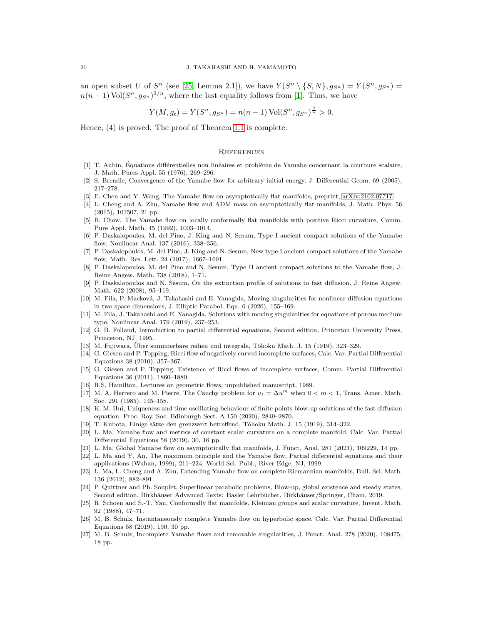an open subset U of  $S^n$  (see [\[25,](#page-19-25) Lemma 2.1]), we have  $Y(S^n \setminus \{S, N\}, g_{S^n}) = Y(S^n, g_{S^n}) =$  $n(n-1) \text{Vol}(S^n, g_{S^n})^{2/n}$ , where the last equality follows from [\[1\]](#page-19-26). Thus, we have

$$
Y(M, g_t) = Y(S^n, g_{S^n}) = n(n-1) \operatorname{Vol}(S^n, g_{S^n})^{\frac{2}{n}} > 0.
$$

Hence, (4) is proved. The proof of Theorem [1.1](#page-2-0) is complete.

#### **REFERENCES**

- <span id="page-19-26"></span>[1] T. Aubin, Équations différentielles non linéaires et problème de Yamabe concernant la courbure scalaire, J. Math. Pures Appl. 55 (1976), 269–296.
- <span id="page-19-15"></span><span id="page-19-2"></span>[2] S. Brendle, Convergence of the Yamabe flow for arbitrary initial energy, J. Differential Geom. 69 (2005), 217–278.
- <span id="page-19-13"></span>[3] E. Chen and Y. Wang, The Yamabe flow on asymptotically flat manifolds, preprint, [arXiv:2102.07717.](http://arxiv.org/abs/2102.07717)
- [4] L. Cheng and A. Zhu, Yamabe flow and ADM mass on asymptotically flat manifolds, J. Math. Phys. 56 (2015), 101507, 21 pp.
- <span id="page-19-1"></span>[5] B. Chow, The Yamabe flow on locally conformally flat manifolds with positive Ricci curvature, Comm. Pure Appl. Math. 45 (1992), 1003–1014.
- <span id="page-19-4"></span>[6] P. Daskalopoulos, M. del Pino, J. King and N. Sesum, Type I ancient compact solutions of the Yamabe flow, Nonlinear Anal. 137 (2016), 338–356.
- <span id="page-19-5"></span>[7] P. Daskalopoulos, M. del Pino, J. King and N. Sesum, New type I ancient compact solutions of the Yamabe flow, Math. Res. Lett. 24 (2017), 1667–1691.
- <span id="page-19-3"></span>[8] P. Daskalopoulos, M. del Pino and N. Sesum, Type II ancient compact solutions to the Yamabe flow, J. Reine Angew. Math. 738 (2018), 1–71.
- <span id="page-19-16"></span>[9] P. Daskalopoulos and N. Sesum, On the extinction profile of solutions to fast diffusion, J. Reine Angew. Math. 622 (2008), 95–119.
- <span id="page-19-18"></span>[10] M. Fila, P. Macková, J. Takahashi and E. Yanagida, Moving singularities for nonlinear diffusion equations in two space dimensions, J. Elliptic Parabol. Equ. 6 (2020), 155–169.
- <span id="page-19-17"></span>[11] M. Fila, J. Takahashi and E. Yanagida, Solutions with moving singularities for equations of porous medium type, Nonlinear Anal. 179 (2019), 237–253.
- <span id="page-19-24"></span>[12] G. B. Folland, Introduction to partial differential equations, Second edition, Princeton University Press, Princeton, NJ, 1995.
- <span id="page-19-22"></span><span id="page-19-9"></span>[13] M. Fujiwara, Über summierbare reihen und integrale, Tôhoku Math. J. 15 (1919), 323–329.
- [14] G. Giesen and P. Topping, Ricci flow of negatively curved incomplete surfaces, Calc. Var. Partial Differential Equations 38 (2010), 357–367.
- <span id="page-19-10"></span>[15] G. Giesen and P. Topping, Existence of Ricci flows of incomplete surfaces, Comm. Partial Differential Equations 36 (2011), 1860–1880.
- <span id="page-19-19"></span><span id="page-19-0"></span>[16] R.S. Hamilton, Lectures on geometric flows, unpublished manuscript, 1989.
- [17] M. A. Herrero and M. Pierre, The Cauchy problem for  $u_t = \Delta u^m$  when  $0 < m < 1$ , Trans. Amer. Math. Soc. 291 (1985), 145–158.
- <span id="page-19-20"></span>[18] K. M. Hui, Uniqueness and time oscillating behaviour of finite points blow-up solutions of the fast diffusion equation, Proc. Roy. Soc. Edinburgh Sect. A 150 (2020), 2849–2870.
- <span id="page-19-21"></span><span id="page-19-8"></span>[19] T. Kubota, Einige sätze den grenzwert betreffend, Tôhoku Math. J. 15 (1919), 314–322.
- [20] L. Ma, Yamabe flow and metrics of constant scalar curvature on a complete manifold, Calc. Var. Partial Differential Equations 58 (2019), 30, 16 pp.
- <span id="page-19-14"></span><span id="page-19-6"></span>[21] L. Ma, Global Yamabe flow on asymptotically flat manifolds, J. Funct. Anal. 281 (2021), 109229, 14 pp.
- [22] L. Ma and Y. An, The maximum principle and the Yamabe flow, Partial differential equations and their applications (Wuhan, 1999), 211–224, World Sci. Publ., River Edge, NJ, 1999.
- <span id="page-19-7"></span>[23] L. Ma, L. Cheng and A. Zhu, Extending Yamabe flow on complete Riemannian manifolds, Bull. Sci. Math. 136 (2012), 882–891.
- <span id="page-19-23"></span>[24] P. Quittner and Ph. Souplet, Superlinear parabolic problems, Blow-up, global existence and steady states, Second edition, Birkhäuser Advanced Texts: Basler Lehrbücher, Birkhäuser/Springer, Cham, 2019.
- <span id="page-19-25"></span>[25] R. Schoen and S.-T. Yau, Conformally flat manifolds, Kleinian groups and scalar curvature, Invent. Math. 92 (1988), 47–71.
- <span id="page-19-11"></span>[26] M. B. Schulz, Instantaneously complete Yamabe flow on hyperbolic space, Calc. Var. Partial Differential Equations 58 (2019), 190, 30 pp.
- <span id="page-19-12"></span>[27] M. B. Schulz, Incomplete Yamabe flows and removable singularities, J. Funct. Anal. 278 (2020), 108475, 18 pp.